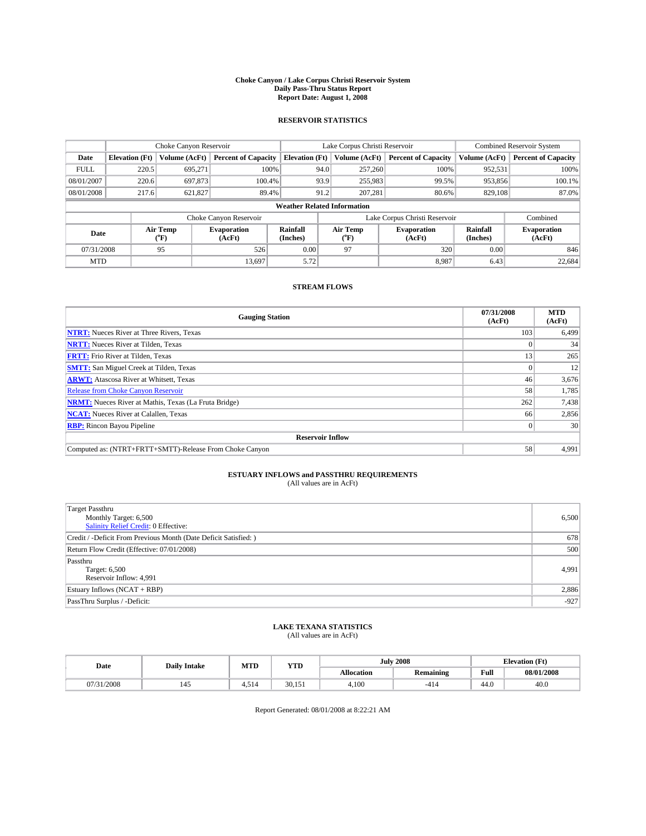#### **Choke Canyon / Lake Corpus Christi Reservoir System Daily Pass-Thru Status Report Report Date: August 1, 2008**

### **RESERVOIR STATISTICS**

|                                    | Choke Canyon Reservoir |                  |                              |                       | Lake Corpus Christi Reservoir |                  |                               |                      | <b>Combined Reservoir System</b> |  |
|------------------------------------|------------------------|------------------|------------------------------|-----------------------|-------------------------------|------------------|-------------------------------|----------------------|----------------------------------|--|
| Date                               | <b>Elevation</b> (Ft)  | Volume (AcFt)    | <b>Percent of Capacity</b>   | <b>Elevation</b> (Ft) |                               | Volume (AcFt)    | <b>Percent of Capacity</b>    | Volume (AcFt)        | <b>Percent of Capacity</b>       |  |
| <b>FULL</b>                        | 220.5                  | 695,271          | 100%                         |                       | 94.0                          | 257,260          | 100%                          | 952,531              | 100%                             |  |
| 08/01/2007                         | 220.6                  | 697,873          | 100.4%                       |                       | 93.9                          | 255,983          | 99.5%                         | 953,856              | 100.1%                           |  |
| 08/01/2008                         | 217.6                  | 621,827          | 89.4%                        |                       | 91.2                          | 207,281          | 80.6%                         | 829,108              | 87.0%                            |  |
| <b>Weather Related Information</b> |                        |                  |                              |                       |                               |                  |                               |                      |                                  |  |
|                                    |                        |                  | Choke Canyon Reservoir       |                       |                               |                  | Lake Corpus Christi Reservoir |                      | Combined                         |  |
| Date                               |                        | Air Temp<br>(°F) | <b>Evaporation</b><br>(AcFt) | Rainfall<br>(Inches)  |                               | Air Temp<br>("F) | <b>Evaporation</b><br>(AcFt)  | Rainfall<br>(Inches) | <b>Evaporation</b><br>(AcFt)     |  |
| 07/31/2008                         |                        | 95               | 526                          | 0.00                  |                               | 97               | 320                           | 0.00                 | 846                              |  |
| <b>MTD</b>                         |                        |                  | 13,697                       | 5.72                  |                               |                  | 8.987                         | 6.43                 | 22,684                           |  |

### **STREAM FLOWS**

| <b>Gauging Station</b>                                       | 07/31/2008<br>(AcFt) | <b>MTD</b><br>(AcFt) |  |  |  |  |
|--------------------------------------------------------------|----------------------|----------------------|--|--|--|--|
| <b>NTRT:</b> Nueces River at Three Rivers, Texas             | 103                  | 6,499                |  |  |  |  |
| <b>NRTT:</b> Nueces River at Tilden, Texas                   |                      | 34                   |  |  |  |  |
| <b>FRTT:</b> Frio River at Tilden, Texas                     | 13                   | 265                  |  |  |  |  |
| <b>SMTT:</b> San Miguel Creek at Tilden, Texas               |                      | 12                   |  |  |  |  |
| <b>ARWT:</b> Atascosa River at Whitsett, Texas               | 46                   | 3,676                |  |  |  |  |
| <b>Release from Choke Canyon Reservoir</b>                   | 58                   | 1,785                |  |  |  |  |
| <b>NRMT:</b> Nueces River at Mathis, Texas (La Fruta Bridge) | 262                  | 7,438                |  |  |  |  |
| <b>NCAT:</b> Nueces River at Calallen, Texas                 | 66                   | 2,856                |  |  |  |  |
| <b>RBP:</b> Rincon Bayou Pipeline                            | $\theta$             | 30                   |  |  |  |  |
| <b>Reservoir Inflow</b>                                      |                      |                      |  |  |  |  |
| Computed as: (NTRT+FRTT+SMTT)-Release From Choke Canyon      | 58                   | 4,991                |  |  |  |  |

# **ESTUARY INFLOWS and PASSTHRU REQUIREMENTS**<br>(All values are in AcFt)

| <b>Target Passthru</b><br>Monthly Target: 6,500<br><b>Salinity Relief Credit: 0 Effective:</b> | 6,500  |
|------------------------------------------------------------------------------------------------|--------|
| Credit / -Deficit From Previous Month (Date Deficit Satisfied: )                               | 678    |
| Return Flow Credit (Effective: 07/01/2008)                                                     | 500    |
| Passthru<br>Target: 6,500<br>Reservoir Inflow: 4,991                                           | 4,991  |
| Estuary Inflows (NCAT + RBP)                                                                   | 2,886  |
| PassThru Surplus / -Deficit:                                                                   | $-927$ |

# **LAKE TEXANA STATISTICS** (All values are in AcFt)

| Date   | <b>Daily Intake</b> | MTD  | YTD    |            | <b>July 2008</b> | <b>Elevation</b> (Ft) |            |
|--------|---------------------|------|--------|------------|------------------|-----------------------|------------|
|        |                     |      |        | Allocation | <b>Remaining</b> | Full                  | 08/01/2008 |
| 1/2008 | 145                 | .514 | 30.151 | 4.100      | -414             | 44.0                  | 40.0       |

Report Generated: 08/01/2008 at 8:22:21 AM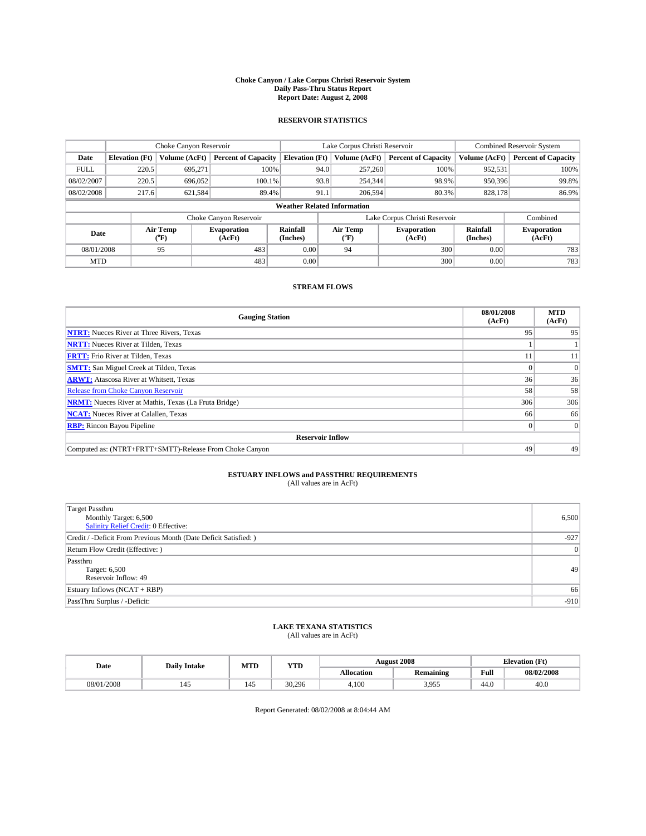#### **Choke Canyon / Lake Corpus Christi Reservoir System Daily Pass-Thru Status Report Report Date: August 2, 2008**

### **RESERVOIR STATISTICS**

|                                    | Choke Canyon Reservoir |                  |                              |                       | Lake Corpus Christi Reservoir | <b>Combined Reservoir System</b> |                      |                              |  |
|------------------------------------|------------------------|------------------|------------------------------|-----------------------|-------------------------------|----------------------------------|----------------------|------------------------------|--|
| Date                               | <b>Elevation</b> (Ft)  | Volume (AcFt)    | <b>Percent of Capacity</b>   | <b>Elevation</b> (Ft) | Volume (AcFt)                 | <b>Percent of Capacity</b>       | Volume (AcFt)        | <b>Percent of Capacity</b>   |  |
| <b>FULL</b>                        | 220.5                  | 695,271          | 100%                         |                       | 257,260<br>94.0               | 100%                             | 952,531              | 100%                         |  |
| 08/02/2007                         | 220.5                  | 696,052          | 100.1%                       |                       | 93.8<br>254,344               | 98.9%                            | 950,396              | 99.8%                        |  |
| 08/02/2008                         | 217.6                  | 621,584          | 89.4%                        | 91.1                  | 206,594                       | 80.3%                            | 828,178              | 86.9%                        |  |
| <b>Weather Related Information</b> |                        |                  |                              |                       |                               |                                  |                      |                              |  |
|                                    |                        |                  | Choke Canyon Reservoir       |                       |                               | Lake Corpus Christi Reservoir    |                      | Combined                     |  |
| Date                               |                        | Air Temp<br>(°F) | <b>Evaporation</b><br>(AcFt) | Rainfall<br>(Inches)  | Air Temp<br>("F)              | <b>Evaporation</b><br>(AcFt)     | Rainfall<br>(Inches) | <b>Evaporation</b><br>(AcFt) |  |
| 08/01/2008                         |                        | 95               | 483                          | 0.00                  | 94                            | 300                              | 0.00                 | 783                          |  |
| <b>MTD</b>                         |                        |                  | 483                          | 0.00                  |                               | 300                              | 0.00                 | 783                          |  |

### **STREAM FLOWS**

| <b>Gauging Station</b>                                       | 08/01/2008<br>(AcFt) | <b>MTD</b><br>(AcFt) |
|--------------------------------------------------------------|----------------------|----------------------|
| <b>NTRT:</b> Nueces River at Three Rivers, Texas             | 95                   | 95                   |
| <b>NRTT:</b> Nueces River at Tilden, Texas                   |                      |                      |
| <b>FRTT:</b> Frio River at Tilden, Texas                     | 11                   | 11                   |
| <b>SMTT:</b> San Miguel Creek at Tilden, Texas               |                      |                      |
| <b>ARWT:</b> Atascosa River at Whitsett, Texas               | 36                   | 36                   |
| <b>Release from Choke Canyon Reservoir</b>                   | 58                   | 58                   |
| <b>NRMT:</b> Nueces River at Mathis, Texas (La Fruta Bridge) | 306                  | 306                  |
| <b>NCAT:</b> Nueces River at Calallen, Texas                 | 66                   | 66                   |
| <b>RBP:</b> Rincon Bayou Pipeline                            | $\overline{0}$       | $\Omega$             |
| <b>Reservoir Inflow</b>                                      |                      |                      |
| Computed as: (NTRT+FRTT+SMTT)-Release From Choke Canyon      | 49                   | 49                   |

# **ESTUARY INFLOWS and PASSTHRU REQUIREMENTS**<br>(All values are in AcFt)

| <b>Target Passthru</b><br>Monthly Target: 6,500<br>Salinity Relief Credit: 0 Effective: | 6,500  |
|-----------------------------------------------------------------------------------------|--------|
| Credit / -Deficit From Previous Month (Date Deficit Satisfied: )                        | $-927$ |
| Return Flow Credit (Effective:)                                                         | 0      |
| Passthru<br>Target: 6,500<br>Reservoir Inflow: 49                                       | 49     |
| Estuary Inflows $(NCAT + RBP)$                                                          | 66     |
| PassThru Surplus / -Deficit:                                                            | $-910$ |

# **LAKE TEXANA STATISTICS** (All values are in AcFt)

| Date       | <b>Daily Intake</b> |     | MTD<br>YTD |                   | <b>August 2008</b> | <b>Elevation</b> (Ft) |            |
|------------|---------------------|-----|------------|-------------------|--------------------|-----------------------|------------|
|            |                     |     |            | <b>Allocation</b> | <b>Remaining</b>   | Full                  | 08/02/2008 |
| 08/01/2008 |                     | 145 | 30.296     | 4.100             | 3.955              | 44.0                  | 40.0       |

Report Generated: 08/02/2008 at 8:04:44 AM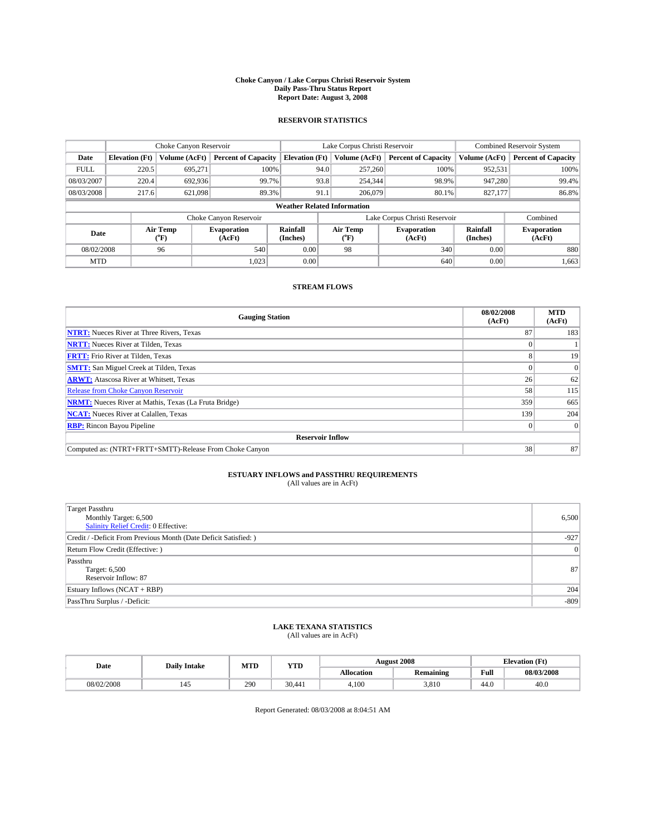#### **Choke Canyon / Lake Corpus Christi Reservoir System Daily Pass-Thru Status Report Report Date: August 3, 2008**

### **RESERVOIR STATISTICS**

|             |                                    | Choke Canyon Reservoir |                              | Lake Corpus Christi Reservoir |                  |  |                               | <b>Combined Reservoir System</b> |                              |
|-------------|------------------------------------|------------------------|------------------------------|-------------------------------|------------------|--|-------------------------------|----------------------------------|------------------------------|
| Date        | <b>Elevation</b> (Ft)              | Volume (AcFt)          | <b>Percent of Capacity</b>   | <b>Elevation</b> (Ft)         | Volume (AcFt)    |  | <b>Percent of Capacity</b>    | Volume (AcFt)                    | <b>Percent of Capacity</b>   |
| <b>FULL</b> | 220.5                              | 695,271                | 100%                         |                               | 257,260<br>94.0  |  | 100%                          | 952,531                          | 100%                         |
| 08/03/2007  | 220.4                              | 692,936                | 99.7%                        |                               | 93.8<br>254,344  |  | 98.9%                         | 947.280                          | 99.4%                        |
| 08/03/2008  | 217.6                              | 621,098                | 89.3%                        |                               | 91.1<br>206,079  |  | 80.1%                         | 827,177                          | 86.8%                        |
|             | <b>Weather Related Information</b> |                        |                              |                               |                  |  |                               |                                  |                              |
|             |                                    |                        | Choke Canyon Reservoir       |                               |                  |  | Lake Corpus Christi Reservoir |                                  | Combined                     |
| Date        |                                    | Air Temp<br>(°F)       | <b>Evaporation</b><br>(AcFt) | Rainfall<br>(Inches)          | Air Temp<br>("F) |  | <b>Evaporation</b><br>(AcFt)  | Rainfall<br>(Inches)             | <b>Evaporation</b><br>(AcFt) |
| 08/02/2008  |                                    | 96                     | 540                          | 0.00                          | 98               |  | 340                           | 0.00                             | 880                          |
| <b>MTD</b>  |                                    |                        | 1.023                        | 0.00                          |                  |  | 640                           | 0.00                             | 1,663                        |

### **STREAM FLOWS**

| <b>Gauging Station</b>                                       | 08/02/2008<br>(AcFt) | <b>MTD</b><br>(AcFt) |  |  |  |  |
|--------------------------------------------------------------|----------------------|----------------------|--|--|--|--|
| <b>NTRT:</b> Nueces River at Three Rivers, Texas             | 87                   | 183                  |  |  |  |  |
| <b>NRTT:</b> Nueces River at Tilden, Texas                   |                      |                      |  |  |  |  |
| <b>FRTT:</b> Frio River at Tilden, Texas                     |                      | 19                   |  |  |  |  |
| <b>SMTT:</b> San Miguel Creek at Tilden, Texas               |                      |                      |  |  |  |  |
| <b>ARWT:</b> Atascosa River at Whitsett, Texas               | 26                   | 62                   |  |  |  |  |
| <b>Release from Choke Canyon Reservoir</b>                   | 58                   | 115                  |  |  |  |  |
| <b>NRMT:</b> Nueces River at Mathis, Texas (La Fruta Bridge) | 359                  | 665                  |  |  |  |  |
| <b>NCAT:</b> Nueces River at Calallen, Texas                 | 139                  | 204                  |  |  |  |  |
| <b>RBP:</b> Rincon Bayou Pipeline                            | $\overline{0}$       |                      |  |  |  |  |
| <b>Reservoir Inflow</b>                                      |                      |                      |  |  |  |  |
| Computed as: (NTRT+FRTT+SMTT)-Release From Choke Canyon      | 38                   | 87                   |  |  |  |  |

# **ESTUARY INFLOWS and PASSTHRU REQUIREMENTS**<br>(All values are in AcFt)

| <b>Target Passthru</b><br>Monthly Target: 6,500<br>Salinity Relief Credit: 0 Effective: | 6,500  |
|-----------------------------------------------------------------------------------------|--------|
| Credit / -Deficit From Previous Month (Date Deficit Satisfied: )                        | $-927$ |
| Return Flow Credit (Effective: )                                                        | 0      |
| Passthru<br>Target: 6,500<br>Reservoir Inflow: 87                                       | 87     |
| Estuary Inflows (NCAT + RBP)                                                            | 204    |
| PassThru Surplus / -Deficit:                                                            | $-809$ |

# **LAKE TEXANA STATISTICS** (All values are in AcFt)

| Date       | <b>Daily Intake</b> | MTD | YTD    | <b>August 2008</b> |                  |      | <b>Elevation</b> (Ft) |
|------------|---------------------|-----|--------|--------------------|------------------|------|-----------------------|
|            |                     |     |        | Allocation         | <b>Remaining</b> | Full | 08/03/2008            |
| 08/02/2008 | 14.)                | 290 | 30.441 | 4.100              | 3.810            | 44.0 | 40.0                  |

Report Generated: 08/03/2008 at 8:04:51 AM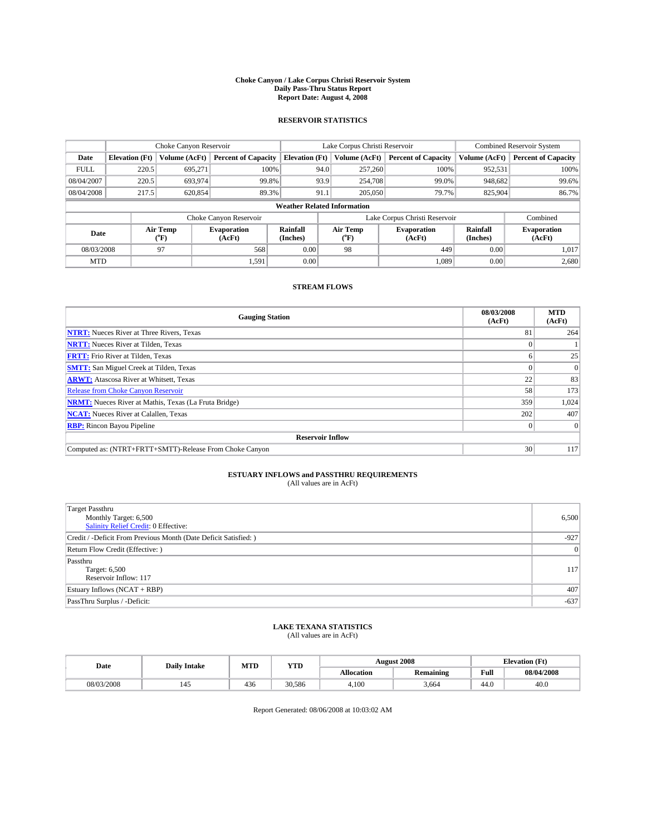#### **Choke Canyon / Lake Corpus Christi Reservoir System Daily Pass-Thru Status Report Report Date: August 4, 2008**

### **RESERVOIR STATISTICS**

|             | Choke Canyon Reservoir             |                  |                              |                       | Lake Corpus Christi Reservoir |                  |                               |                      | <b>Combined Reservoir System</b> |  |  |
|-------------|------------------------------------|------------------|------------------------------|-----------------------|-------------------------------|------------------|-------------------------------|----------------------|----------------------------------|--|--|
| Date        | <b>Elevation</b> (Ft)              | Volume (AcFt)    | <b>Percent of Capacity</b>   | <b>Elevation</b> (Ft) |                               | Volume (AcFt)    | <b>Percent of Capacity</b>    | Volume (AcFt)        | <b>Percent of Capacity</b>       |  |  |
| <b>FULL</b> | 220.5                              | 695,271          | 100%                         |                       | 94.0                          | 257,260          | 100%                          | 952,531              | 100%                             |  |  |
| 08/04/2007  | 220.5                              | 693,974          | 99.8%                        |                       | 93.9                          | 254,708          | 99.0%                         | 948,682              | 99.6%                            |  |  |
| 08/04/2008  | 217.5                              | 620,854          | 89.3%                        |                       | 91.1                          | 205,050          | 79.7%                         | 825,904              | 86.7%                            |  |  |
|             | <b>Weather Related Information</b> |                  |                              |                       |                               |                  |                               |                      |                                  |  |  |
|             |                                    |                  | Choke Canyon Reservoir       |                       |                               |                  | Lake Corpus Christi Reservoir |                      | Combined                         |  |  |
| Date        |                                    | Air Temp<br>(°F) | <b>Evaporation</b><br>(AcFt) | Rainfall<br>(Inches)  |                               | Air Temp<br>("F) | <b>Evaporation</b><br>(AcFt)  | Rainfall<br>(Inches) | <b>Evaporation</b><br>(AcFt)     |  |  |
| 08/03/2008  |                                    | 97               | 568                          | 0.00                  |                               | 98               | 449                           | 0.00                 | 1,017                            |  |  |
| <b>MTD</b>  |                                    |                  | 1,591                        | 0.00                  |                               |                  | 1,089                         | 0.00                 | 2,680                            |  |  |

### **STREAM FLOWS**

| <b>Gauging Station</b>                                       | 08/03/2008<br>(AcFt) | <b>MTD</b><br>(AcFt) |
|--------------------------------------------------------------|----------------------|----------------------|
| <b>NTRT:</b> Nueces River at Three Rivers, Texas             | 81                   | 264                  |
| <b>NRTT:</b> Nueces River at Tilden, Texas                   |                      |                      |
| <b>FRTT:</b> Frio River at Tilden, Texas                     | o                    | 25                   |
| <b>SMTT:</b> San Miguel Creek at Tilden, Texas               |                      |                      |
| <b>ARWT:</b> Atascosa River at Whitsett, Texas               | 22                   | 83                   |
| <b>Release from Choke Canyon Reservoir</b>                   | 58                   | 173                  |
| <b>NRMT:</b> Nueces River at Mathis, Texas (La Fruta Bridge) | 359                  | 1,024                |
| <b>NCAT:</b> Nueces River at Calallen, Texas                 | 202                  | 407                  |
| <b>RBP:</b> Rincon Bayou Pipeline                            | $\Omega$             |                      |
| <b>Reservoir Inflow</b>                                      |                      |                      |
| Computed as: (NTRT+FRTT+SMTT)-Release From Choke Canyon      | 30 <sup>1</sup>      | 117                  |

# **ESTUARY INFLOWS and PASSTHRU REQUIREMENTS**<br>(All values are in AcFt)

| <b>Target Passthru</b><br>Monthly Target: 6,500<br>Salinity Relief Credit: 0 Effective: | 6,500  |
|-----------------------------------------------------------------------------------------|--------|
| Credit / -Deficit From Previous Month (Date Deficit Satisfied: )                        | $-927$ |
| Return Flow Credit (Effective: )                                                        | 0      |
| Passthru<br>Target: 6,500<br>Reservoir Inflow: 117                                      | 117    |
| Estuary Inflows (NCAT + RBP)                                                            | 407    |
| PassThru Surplus / -Deficit:                                                            | $-637$ |

# **LAKE TEXANA STATISTICS** (All values are in AcFt)

| Date       | <b>Daily Intake</b> | MTI | YTD    |                   | <b>August 2008</b> | <b>Elevation</b> (Ft) |            |
|------------|---------------------|-----|--------|-------------------|--------------------|-----------------------|------------|
|            |                     |     |        | <b>Allocation</b> | <b>Remaining</b>   | Full                  | 08/04/2008 |
| 08/03/2008 |                     | 436 | 30.586 | 4.100             | 3.664              | 44.0                  | 40.0       |

Report Generated: 08/06/2008 at 10:03:02 AM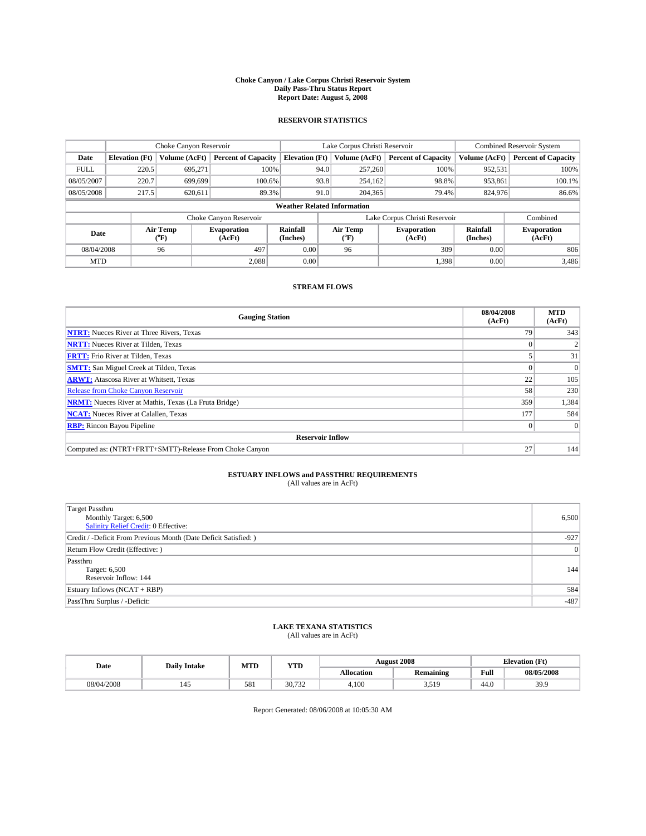#### **Choke Canyon / Lake Corpus Christi Reservoir System Daily Pass-Thru Status Report Report Date: August 5, 2008**

### **RESERVOIR STATISTICS**

|             | Choke Canyon Reservoir             |                             |                              |                       | Lake Corpus Christi Reservoir |                  |                               |                      | <b>Combined Reservoir System</b> |  |  |
|-------------|------------------------------------|-----------------------------|------------------------------|-----------------------|-------------------------------|------------------|-------------------------------|----------------------|----------------------------------|--|--|
| Date        | <b>Elevation</b> (Ft)              | Volume (AcFt)               | <b>Percent of Capacity</b>   | <b>Elevation</b> (Ft) |                               | Volume (AcFt)    | <b>Percent of Capacity</b>    | Volume (AcFt)        | <b>Percent of Capacity</b>       |  |  |
| <b>FULL</b> | 220.5                              | 695,271                     | 100%                         |                       | 94.0                          | 257,260          | 100%                          | 952,531              | 100%                             |  |  |
| 08/05/2007  | 220.7                              | 699.699                     | 100.6%                       |                       | 93.8                          | 254,162          | 98.8%                         | 953,861              | 100.1%                           |  |  |
| 08/05/2008  | 217.5                              | 620.611                     | 89.3%                        |                       | 91.0                          | 204,365          | 79.4%                         | 824,976              | 86.6%                            |  |  |
|             | <b>Weather Related Information</b> |                             |                              |                       |                               |                  |                               |                      |                                  |  |  |
|             |                                    |                             | Choke Canyon Reservoir       |                       |                               |                  | Lake Corpus Christi Reservoir |                      | Combined                         |  |  |
| Date        |                                    | Air Temp<br>${}^{\circ}$ F) | <b>Evaporation</b><br>(AcFt) | Rainfall<br>(Inches)  |                               | Air Temp<br>("F) | <b>Evaporation</b><br>(AcFt)  | Rainfall<br>(Inches) | <b>Evaporation</b><br>(AcFt)     |  |  |
| 08/04/2008  |                                    | 96                          | 497                          | 0.00                  |                               | 96               | 309                           | 0.00                 | 806                              |  |  |
| <b>MTD</b>  |                                    |                             | 2.088                        | 0.00                  |                               |                  | 1,398                         | 0.00                 | 3,486                            |  |  |

### **STREAM FLOWS**

| <b>Gauging Station</b>                                       | 08/04/2008<br>(AcFt) | <b>MTD</b><br>(AcFt) |
|--------------------------------------------------------------|----------------------|----------------------|
| <b>NTRT:</b> Nueces River at Three Rivers, Texas             | 79                   | 343                  |
| <b>NRTT:</b> Nueces River at Tilden, Texas                   |                      |                      |
| <b>FRTT:</b> Frio River at Tilden, Texas                     |                      | 31                   |
| <b>SMTT:</b> San Miguel Creek at Tilden, Texas               |                      |                      |
| <b>ARWT:</b> Atascosa River at Whitsett, Texas               | 22                   | 105                  |
| <b>Release from Choke Canyon Reservoir</b>                   | 58                   | 230                  |
| <b>NRMT:</b> Nueces River at Mathis, Texas (La Fruta Bridge) | 359                  | 1,384                |
| <b>NCAT:</b> Nueces River at Calallen, Texas                 | 177                  | 584                  |
| <b>RBP:</b> Rincon Bayou Pipeline                            | $\vert 0 \vert$      |                      |
| <b>Reservoir Inflow</b>                                      |                      |                      |
| Computed as: (NTRT+FRTT+SMTT)-Release From Choke Canyon      | 27                   | 144                  |

# **ESTUARY INFLOWS and PASSTHRU REQUIREMENTS**<br>(All values are in AcFt)

| <b>Target Passthru</b><br>Monthly Target: 6,500<br>Salinity Relief Credit: 0 Effective: | 6,500  |
|-----------------------------------------------------------------------------------------|--------|
| Credit / -Deficit From Previous Month (Date Deficit Satisfied: )                        | $-927$ |
| Return Flow Credit (Effective: )                                                        | 0      |
| Passthru<br>Target: 6,500<br>Reservoir Inflow: 144                                      | 144    |
| Estuary Inflows (NCAT + RBP)                                                            | 584    |
| PassThru Surplus / -Deficit:                                                            | $-487$ |

# **LAKE TEXANA STATISTICS** (All values are in AcFt)

| Date       | <b>Daily Intake</b> | MTD | YTD    |                   | <b>August 2008</b> | <b>Elevation</b> (Ft) |            |
|------------|---------------------|-----|--------|-------------------|--------------------|-----------------------|------------|
|            |                     |     |        | <b>Allocation</b> | <b>Remaining</b>   | Full                  | 08/05/2008 |
| 08/04/2008 |                     | 581 | 30.732 | 4.100             | 510<br>، ب         | 44.0                  | 39.9       |

Report Generated: 08/06/2008 at 10:05:30 AM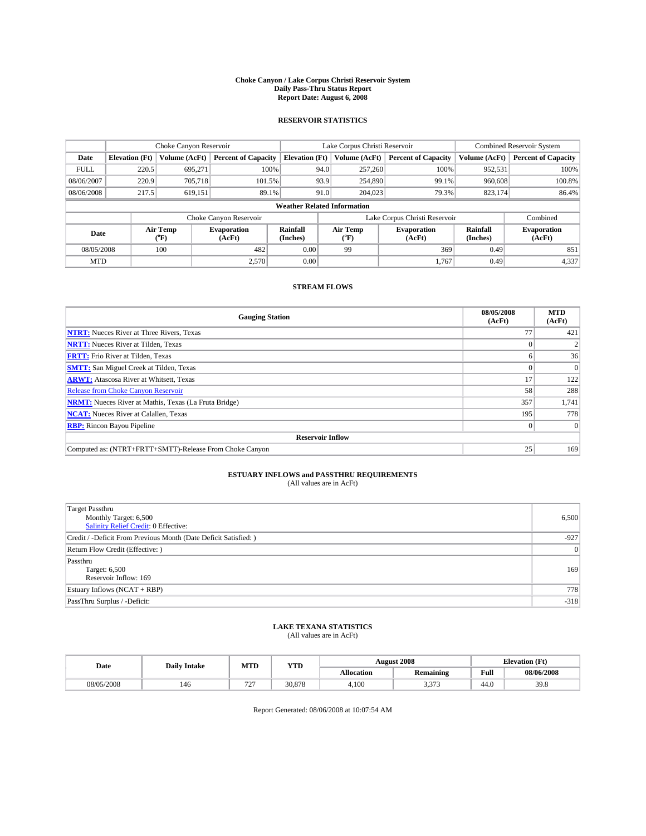#### **Choke Canyon / Lake Corpus Christi Reservoir System Daily Pass-Thru Status Report Report Date: August 6, 2008**

### **RESERVOIR STATISTICS**

|             | Choke Canyon Reservoir             |                             |                              |                       | Lake Corpus Christi Reservoir |                  |                               |                      | <b>Combined Reservoir System</b> |  |  |
|-------------|------------------------------------|-----------------------------|------------------------------|-----------------------|-------------------------------|------------------|-------------------------------|----------------------|----------------------------------|--|--|
| Date        | <b>Elevation</b> (Ft)              | Volume (AcFt)               | <b>Percent of Capacity</b>   | <b>Elevation</b> (Ft) |                               | Volume (AcFt)    | <b>Percent of Capacity</b>    | Volume (AcFt)        | <b>Percent of Capacity</b>       |  |  |
| <b>FULL</b> | 220.5                              | 695,271                     | 100%                         |                       | 94.0                          | 257,260          | 100%                          | 952,531              | 100%                             |  |  |
| 08/06/2007  | 220.9                              | 705,718                     | 101.5%                       |                       | 93.9                          | 254,890          | 99.1%                         | 960,608              | 100.8%                           |  |  |
| 08/06/2008  | 217.5                              | 619,151                     | 89.1%                        |                       | 91.0                          | 204,023          | 79.3%                         | 823,174              | 86.4%                            |  |  |
|             | <b>Weather Related Information</b> |                             |                              |                       |                               |                  |                               |                      |                                  |  |  |
|             |                                    |                             | Choke Canyon Reservoir       |                       |                               |                  | Lake Corpus Christi Reservoir |                      | Combined                         |  |  |
| Date        |                                    | Air Temp<br>${}^{\circ}$ F) | <b>Evaporation</b><br>(AcFt) | Rainfall<br>(Inches)  |                               | Air Temp<br>("F) | <b>Evaporation</b><br>(AcFt)  | Rainfall<br>(Inches) | <b>Evaporation</b><br>(AcFt)     |  |  |
| 08/05/2008  |                                    | 100                         | 482                          | 0.00                  |                               | 99               | 369                           | 0.49                 | 851                              |  |  |
| <b>MTD</b>  |                                    |                             | 2,570                        | 0.00                  |                               |                  | 1.767                         | 0.49                 | 4,337                            |  |  |

### **STREAM FLOWS**

| <b>Gauging Station</b>                                       | 08/05/2008<br>(AcFt) | <b>MTD</b><br>(AcFt) |
|--------------------------------------------------------------|----------------------|----------------------|
| <b>NTRT:</b> Nueces River at Three Rivers, Texas             | 77                   | 421                  |
| <b>NRTT:</b> Nueces River at Tilden, Texas                   |                      |                      |
| <b>FRTT:</b> Frio River at Tilden, Texas                     |                      | 36                   |
| <b>SMTT:</b> San Miguel Creek at Tilden, Texas               |                      | $\Omega$             |
| <b>ARWT:</b> Atascosa River at Whitsett, Texas               | 17                   | 122                  |
| <b>Release from Choke Canyon Reservoir</b>                   | 58                   | 288                  |
| <b>NRMT:</b> Nueces River at Mathis, Texas (La Fruta Bridge) | 357                  | 1,741                |
| <b>NCAT:</b> Nueces River at Calallen, Texas                 | 195                  | 778                  |
| <b>RBP:</b> Rincon Bayou Pipeline                            | $\overline{0}$       |                      |
| <b>Reservoir Inflow</b>                                      |                      |                      |
| Computed as: (NTRT+FRTT+SMTT)-Release From Choke Canyon      | 25                   | 169                  |

# **ESTUARY INFLOWS and PASSTHRU REQUIREMENTS**<br>(All values are in AcFt)

| <b>Target Passthru</b><br>Monthly Target: 6,500<br>Salinity Relief Credit: 0 Effective: | 6,500  |
|-----------------------------------------------------------------------------------------|--------|
| Credit / -Deficit From Previous Month (Date Deficit Satisfied: )                        | $-927$ |
| Return Flow Credit (Effective:)                                                         | 0      |
| Passthru<br>Target: 6,500<br>Reservoir Inflow: 169                                      | 169    |
| Estuary Inflows $(NCAT + RBP)$                                                          | 778    |
| PassThru Surplus / -Deficit:                                                            | $-318$ |

# **LAKE TEXANA STATISTICS** (All values are in AcFt)

| Date       | <b>Daily Intake</b> | MTD                                       | <b>YTD</b> |                   | <b>August 2008</b> | <b>Elevation</b> (Ft)                       |            |
|------------|---------------------|-------------------------------------------|------------|-------------------|--------------------|---------------------------------------------|------------|
|            |                     |                                           |            | <b>Allocation</b> | <b>Remaining</b>   | Full<br>the contract of the contract of the | 08/06/2008 |
| 08/05/2008 | 146                 | $\sim$ $\sim$<br>$\overline{\phantom{a}}$ | 30,878     | 4.100             | 272<br>، ر. ر.     | 44.0                                        | 39.8       |

Report Generated: 08/06/2008 at 10:07:54 AM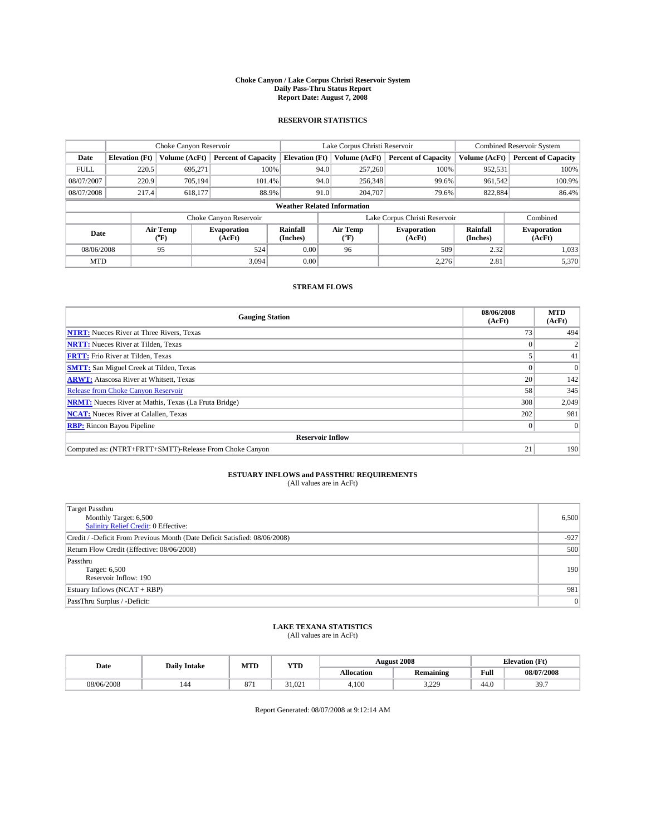#### **Choke Canyon / Lake Corpus Christi Reservoir System Daily Pass-Thru Status Report Report Date: August 7, 2008**

### **RESERVOIR STATISTICS**

|             | Choke Canyon Reservoir             |                             | Lake Corpus Christi Reservoir |                       |                               |                  | Combined Reservoir System    |                      |                              |  |
|-------------|------------------------------------|-----------------------------|-------------------------------|-----------------------|-------------------------------|------------------|------------------------------|----------------------|------------------------------|--|
| Date        | <b>Elevation</b> (Ft)              | Volume (AcFt)               | <b>Percent of Capacity</b>    | <b>Elevation</b> (Ft) |                               | Volume (AcFt)    | <b>Percent of Capacity</b>   | Volume (AcFt)        | <b>Percent of Capacity</b>   |  |
| <b>FULL</b> | 220.5                              | 695,271                     | 100%                          |                       | 94.0                          | 257,260          | 100%                         | 952,531              | 100%                         |  |
| 08/07/2007  | 220.9                              | 705.194                     | 101.4%                        |                       | 94.0                          | 256,348          | 99.6%                        | 961.542              | 100.9%                       |  |
| 08/07/2008  | 217.4                              | 618.177                     | 88.9%                         |                       | 91.0                          | 204,707          | 79.6%                        | 822,884              | 86.4%                        |  |
|             | <b>Weather Related Information</b> |                             |                               |                       |                               |                  |                              |                      |                              |  |
|             |                                    |                             | Choke Canyon Reservoir        |                       | Lake Corpus Christi Reservoir |                  |                              |                      | Combined                     |  |
| Date        |                                    | Air Temp<br>${}^{\circ}$ F) | <b>Evaporation</b><br>(AcFt)  | Rainfall<br>(Inches)  |                               | Air Temp<br>("F) | <b>Evaporation</b><br>(AcFt) | Rainfall<br>(Inches) | <b>Evaporation</b><br>(AcFt) |  |
| 08/06/2008  |                                    | 95                          | 524                           | 0.00                  |                               | 96               | 509                          | 2.32                 | 1,033                        |  |
| <b>MTD</b>  |                                    |                             | 3.094                         | 0.00                  |                               |                  | 2,276                        | 2.81                 | 5,370                        |  |

### **STREAM FLOWS**

| <b>Gauging Station</b>                                       | 08/06/2008<br>(AcFt) | <b>MTD</b><br>(AcFt) |
|--------------------------------------------------------------|----------------------|----------------------|
| <b>NTRT:</b> Nueces River at Three Rivers, Texas             | 73                   | 494                  |
| <b>NRTT:</b> Nueces River at Tilden, Texas                   |                      |                      |
| <b>FRTT:</b> Frio River at Tilden, Texas                     |                      | 41                   |
| <b>SMTT:</b> San Miguel Creek at Tilden, Texas               |                      |                      |
| <b>ARWT:</b> Atascosa River at Whitsett, Texas               | 20                   | 142                  |
| Release from Choke Canyon Reservoir                          | 58                   | 345                  |
| <b>NRMT:</b> Nueces River at Mathis, Texas (La Fruta Bridge) | 308                  | 2,049                |
| <b>NCAT:</b> Nueces River at Calallen, Texas                 | 202                  | 981                  |
| <b>RBP:</b> Rincon Bayou Pipeline                            | $\theta$             |                      |
| <b>Reservoir Inflow</b>                                      |                      |                      |
| Computed as: (NTRT+FRTT+SMTT)-Release From Choke Canyon      | 21                   | 190                  |

# **ESTUARY INFLOWS and PASSTHRU REQUIREMENTS**<br>(All values are in AcFt)

| <b>Target Passthru</b><br>Monthly Target: 6,500<br><b>Salinity Relief Credit: 0 Effective:</b> | 6,500  |
|------------------------------------------------------------------------------------------------|--------|
| Credit / -Deficit From Previous Month (Date Deficit Satisfied: 08/06/2008)                     | $-927$ |
| Return Flow Credit (Effective: 08/06/2008)                                                     | 500    |
| Passthru<br>Target: 6,500<br>Reservoir Inflow: 190                                             | 190    |
| Estuary Inflows (NCAT + RBP)                                                                   | 981    |
| PassThru Surplus / -Deficit:                                                                   | 0      |

# **LAKE TEXANA STATISTICS** (All values are in AcFt)

| Date       | <b>Daily Intake</b> | <b>YTD</b><br>MTD |        | <b>August 2008</b> |                  |      |            |  | <b>Elevation</b> (Ft) |
|------------|---------------------|-------------------|--------|--------------------|------------------|------|------------|--|-----------------------|
|            |                     |                   |        | Allocation         | <b>Remaining</b> | Full | 08/07/2008 |  |                       |
| 08/06/2008 | 144                 | $\sim$<br>871     | 31.021 | 4,100              | 220<br>د ڪيور    | 44.0 | 307<br>J., |  |                       |

Report Generated: 08/07/2008 at 9:12:14 AM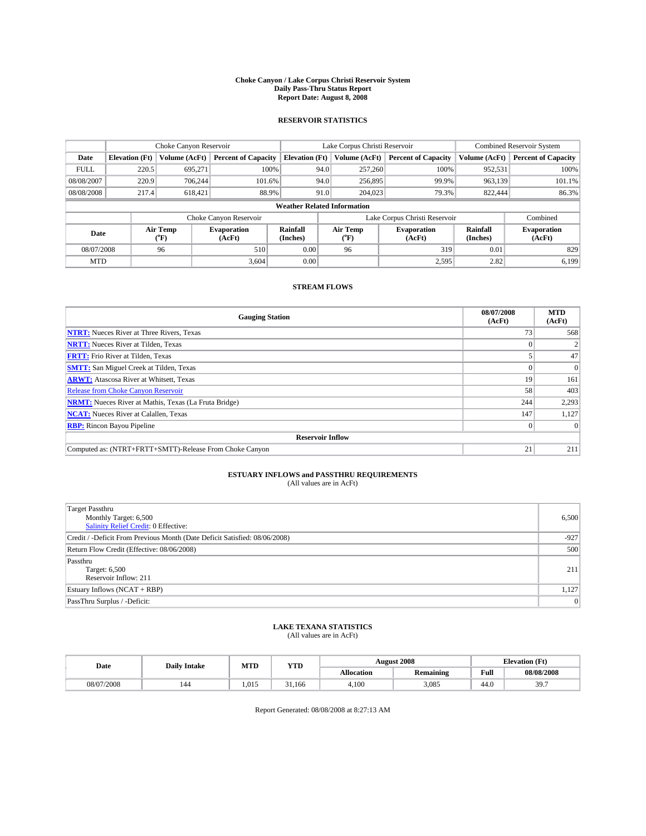#### **Choke Canyon / Lake Corpus Christi Reservoir System Daily Pass-Thru Status Report Report Date: August 8, 2008**

### **RESERVOIR STATISTICS**

|             | Choke Canyon Reservoir             |                  | Lake Corpus Christi Reservoir |                       |                               |                  | <b>Combined Reservoir System</b> |                      |                              |
|-------------|------------------------------------|------------------|-------------------------------|-----------------------|-------------------------------|------------------|----------------------------------|----------------------|------------------------------|
| Date        | <b>Elevation</b> (Ft)              | Volume (AcFt)    | <b>Percent of Capacity</b>    | <b>Elevation</b> (Ft) |                               | Volume (AcFt)    | <b>Percent of Capacity</b>       | Volume (AcFt)        | <b>Percent of Capacity</b>   |
| <b>FULL</b> | 220.5                              | 695,271          | 100%                          |                       | 94.0                          | 257,260          | 100%                             | 952,531              | 100%                         |
| 08/08/2007  | 220.9                              | 706.244          | 101.6%                        |                       | 94.0                          | 256,895          | 99.9%                            | 963,139              | 101.1%                       |
| 08/08/2008  | 217.4                              | 618,421          | 88.9%                         |                       | 91.0                          | 204,023          | 79.3%                            | 822,444              | 86.3%                        |
|             | <b>Weather Related Information</b> |                  |                               |                       |                               |                  |                                  |                      |                              |
|             |                                    |                  | Choke Canyon Reservoir        |                       | Lake Corpus Christi Reservoir |                  |                                  |                      | Combined                     |
| Date        |                                    | Air Temp<br>(°F) | <b>Evaporation</b><br>(AcFt)  | Rainfall<br>(Inches)  |                               | Air Temp<br>("F) | <b>Evaporation</b><br>(AcFt)     | Rainfall<br>(Inches) | <b>Evaporation</b><br>(AcFt) |
| 08/07/2008  |                                    | 96               | 510                           | 0.00                  |                               | 96               | 319                              | 0.01                 | 829                          |
| <b>MTD</b>  |                                    |                  | 3,604                         | 0.00                  |                               |                  | 2,595                            | 2.82                 | 6,199                        |

### **STREAM FLOWS**

| <b>Gauging Station</b>                                       | 08/07/2008<br>(AcFt) | <b>MTD</b><br>(AcFt) |
|--------------------------------------------------------------|----------------------|----------------------|
| <b>NTRT:</b> Nueces River at Three Rivers, Texas             | 73 <sub>1</sub>      | 568                  |
| <b>NRTT:</b> Nueces River at Tilden, Texas                   |                      |                      |
| <b>FRTT:</b> Frio River at Tilden, Texas                     |                      | 47                   |
| <b>SMTT:</b> San Miguel Creek at Tilden, Texas               |                      |                      |
| <b>ARWT:</b> Atascosa River at Whitsett, Texas               | 19                   | 161                  |
| <b>Release from Choke Canyon Reservoir</b>                   | 58                   | 403                  |
| <b>NRMT:</b> Nueces River at Mathis, Texas (La Fruta Bridge) | 244                  | 2,293                |
| <b>NCAT:</b> Nueces River at Calallen, Texas                 | 147                  | 1,127                |
| <b>RBP:</b> Rincon Bayou Pipeline                            | $\overline{0}$       |                      |
| <b>Reservoir Inflow</b>                                      |                      |                      |
| Computed as: (NTRT+FRTT+SMTT)-Release From Choke Canyon      | 21                   | 211                  |

# **ESTUARY INFLOWS and PASSTHRU REQUIREMENTS**<br>(All values are in AcFt)

| <b>Target Passthru</b><br>Monthly Target: 6,500<br>Salinity Relief Credit: 0 Effective: | 6,500  |
|-----------------------------------------------------------------------------------------|--------|
| Credit / -Deficit From Previous Month (Date Deficit Satisfied: 08/06/2008)              | $-927$ |
| Return Flow Credit (Effective: 08/06/2008)                                              | 500    |
| Passthru<br>Target: 6,500<br>Reservoir Inflow: 211                                      | 211    |
| Estuary Inflows (NCAT + RBP)                                                            | 1,127  |
| PassThru Surplus / -Deficit:                                                            | 0      |

## **LAKE TEXANA STATISTICS** (All values are in AcFt)

| Date       | <b>Daily Intake</b> | MTD   | <b>WTPD</b><br>1 I D |                   | <b>August 2008</b> | CT4<br>Elevation (<br>. F L' |             |
|------------|---------------------|-------|----------------------|-------------------|--------------------|------------------------------|-------------|
|            |                     |       |                      | <b>Allocation</b> | <b>Remaining</b>   | Full                         | 08/08/2008  |
| 08/07/2008 | 144                 | 1.015 | 31.166               | 4.10C             | 3.085              | 44.0                         | 307<br>J.I. |

Report Generated: 08/08/2008 at 8:27:13 AM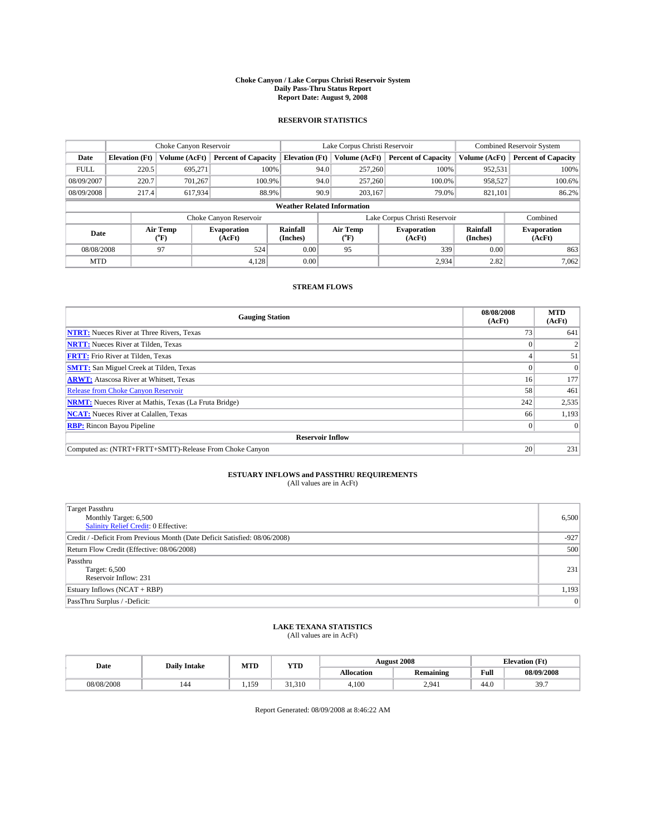#### **Choke Canyon / Lake Corpus Christi Reservoir System Daily Pass-Thru Status Report Report Date: August 9, 2008**

### **RESERVOIR STATISTICS**

|             | Choke Canyon Reservoir             |                             | Lake Corpus Christi Reservoir |                       |                               |                  | <b>Combined Reservoir System</b> |                      |                              |  |
|-------------|------------------------------------|-----------------------------|-------------------------------|-----------------------|-------------------------------|------------------|----------------------------------|----------------------|------------------------------|--|
| Date        | <b>Elevation</b> (Ft)              | Volume (AcFt)               | <b>Percent of Capacity</b>    | <b>Elevation</b> (Ft) |                               | Volume (AcFt)    | <b>Percent of Capacity</b>       | Volume (AcFt)        | <b>Percent of Capacity</b>   |  |
| <b>FULL</b> | 220.5                              | 695,271                     | 100%                          |                       | 94.0                          | 257,260          | 100%                             | 952,531              | 100%                         |  |
| 08/09/2007  | 220.7                              | 701,267                     | 100.9%                        |                       | 94.0                          | 257,260          | 100.0%                           | 958,527              | 100.6%                       |  |
| 08/09/2008  | 217.4                              | 617,934                     | 88.9%                         |                       | 90.9                          | 203.167          | 79.0%                            | 821,101              | 86.2%                        |  |
|             | <b>Weather Related Information</b> |                             |                               |                       |                               |                  |                                  |                      |                              |  |
|             |                                    |                             | Choke Canyon Reservoir        |                       | Lake Corpus Christi Reservoir |                  |                                  |                      | Combined                     |  |
| Date        |                                    | Air Temp<br>${}^{\circ}$ F) | <b>Evaporation</b><br>(AcFt)  | Rainfall<br>(Inches)  |                               | Air Temp<br>("F) | <b>Evaporation</b><br>(AcFt)     | Rainfall<br>(Inches) | <b>Evaporation</b><br>(AcFt) |  |
| 08/08/2008  |                                    | 97                          | 524                           | 0.00                  |                               | 95               | 339                              | 0.00                 | 863                          |  |
| <b>MTD</b>  |                                    |                             | 4,128                         | 0.00                  |                               |                  | 2,934                            | 2.82                 | 7,062                        |  |

### **STREAM FLOWS**

| <b>Gauging Station</b>                                       | 08/08/2008<br>(AcFt) | <b>MTD</b><br>(AcFt) |
|--------------------------------------------------------------|----------------------|----------------------|
| <b>NTRT:</b> Nueces River at Three Rivers, Texas             | 73 <sub>1</sub>      | 641                  |
| <b>NRTT:</b> Nueces River at Tilden, Texas                   |                      |                      |
| <b>FRTT:</b> Frio River at Tilden, Texas                     |                      | 51                   |
| <b>SMTT:</b> San Miguel Creek at Tilden, Texas               |                      |                      |
| <b>ARWT:</b> Atascosa River at Whitsett, Texas               | 16 <sup>1</sup>      | 177                  |
| <b>Release from Choke Canyon Reservoir</b>                   | 58                   | 461                  |
| <b>NRMT:</b> Nueces River at Mathis, Texas (La Fruta Bridge) | 242                  | 2,535                |
| <b>NCAT:</b> Nueces River at Calallen, Texas                 | 66                   | 1,193                |
| <b>RBP:</b> Rincon Bayou Pipeline                            | $\overline{0}$       |                      |
| <b>Reservoir Inflow</b>                                      |                      |                      |
| Computed as: (NTRT+FRTT+SMTT)-Release From Choke Canyon      | 20                   | 231                  |

## **ESTUARY INFLOWS and PASSTHRU REQUIREMENTS**

| (All values are in AcFt) |  |  |
|--------------------------|--|--|
|--------------------------|--|--|

| <b>Target Passthru</b><br>Monthly Target: 6,500<br>Salinity Relief Credit: 0 Effective: | 6,500  |
|-----------------------------------------------------------------------------------------|--------|
| Credit / -Deficit From Previous Month (Date Deficit Satisfied: 08/06/2008)              | $-927$ |
| Return Flow Credit (Effective: 08/06/2008)                                              | 500    |
| Passthru<br>Target: 6,500<br>Reservoir Inflow: 231                                      | 231    |
| Estuary Inflows (NCAT + RBP)                                                            | 1,193  |
| PassThru Surplus / -Deficit:                                                            | 0      |

# **LAKE TEXANA STATISTICS** (All values are in AcFt)

| Date       | <b>Daily Intake</b> | MTD | <b>YTD</b> |                   | <b>August 2008</b> |      | $(T\mathcal{U})$<br>Elevation<br>r v |
|------------|---------------------|-----|------------|-------------------|--------------------|------|--------------------------------------|
|            |                     |     |            | <b>Allocation</b> | Remaining          | Full | 08/09/2008                           |
| 08/08/2008 | 144                 | 159 | 31.310     | 4.100             | 2.941              | 44.0 | 397<br>J.I.                          |

Report Generated: 08/09/2008 at 8:46:22 AM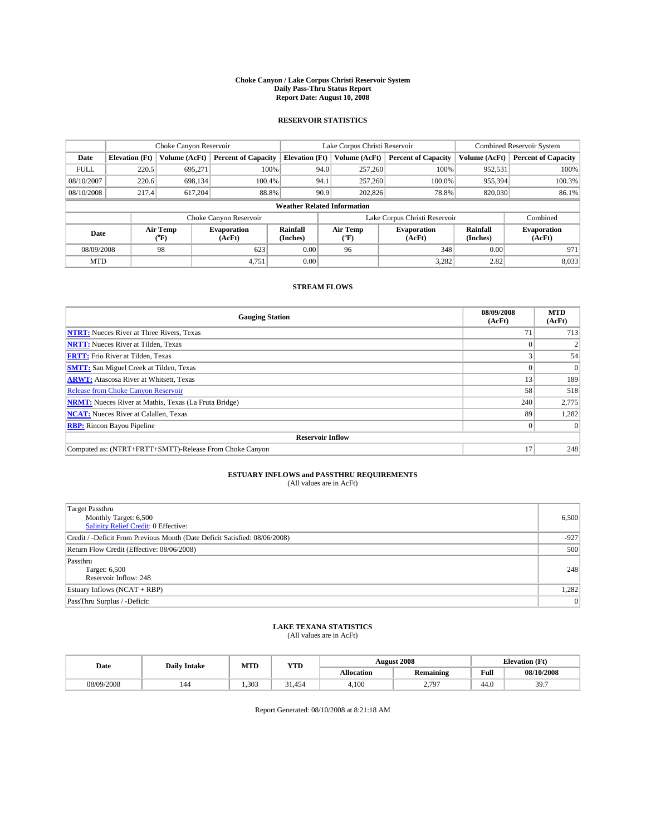#### **Choke Canyon / Lake Corpus Christi Reservoir System Daily Pass-Thru Status Report Report Date: August 10, 2008**

### **RESERVOIR STATISTICS**

|             | Choke Canyon Reservoir    |                             |                              |                       | Lake Corpus Christi Reservoir      |         |                              | <b>Combined Reservoir System</b> |                              |  |
|-------------|---------------------------|-----------------------------|------------------------------|-----------------------|------------------------------------|---------|------------------------------|----------------------------------|------------------------------|--|
| Date        | <b>Elevation</b> (Ft)     | Volume (AcFt)               | <b>Percent of Capacity</b>   | <b>Elevation</b> (Ft) | Volume (AcFt)                      |         | <b>Percent of Capacity</b>   | Volume (AcFt)                    | <b>Percent of Capacity</b>   |  |
| <b>FULL</b> | 220.5                     | 695,271                     | 100%                         |                       | 257,260<br>94.0                    |         | 100%                         | 952,531                          | 100%                         |  |
| 08/10/2007  | 220.6                     | 698.134                     | 100.4%                       |                       | 94.1                               | 257,260 | 100.0%                       | 955,394                          | 100.3%                       |  |
| 08/10/2008  | 217.4<br>617.204<br>88.8% |                             |                              | 90.9<br>202,826       |                                    | 78.8%   | 820,030                      | 86.1%                            |                              |  |
|             |                           |                             |                              |                       | <b>Weather Related Information</b> |         |                              |                                  |                              |  |
|             |                           |                             | Choke Canyon Reservoir       |                       | Lake Corpus Christi Reservoir      |         |                              |                                  | Combined                     |  |
| Date        |                           | Air Temp<br>${}^{\circ}$ F) | <b>Evaporation</b><br>(AcFt) | Rainfall<br>(Inches)  | Air Temp<br>("F)                   |         | <b>Evaporation</b><br>(AcFt) | Rainfall<br>(Inches)             | <b>Evaporation</b><br>(AcFt) |  |
| 08/09/2008  |                           | 98                          | 623                          | 0.00                  | 96                                 |         | 348                          | 0.00                             | 971                          |  |
| <b>MTD</b>  |                           |                             | 4,751                        | 0.00                  |                                    |         | 3,282                        | 2.82                             | 8,033                        |  |

### **STREAM FLOWS**

| <b>Gauging Station</b>                                       | 08/09/2008<br>(AcFt) | <b>MTD</b><br>(AcFt) |
|--------------------------------------------------------------|----------------------|----------------------|
| <b>NTRT:</b> Nueces River at Three Rivers, Texas             | 71                   | 713                  |
| <b>NRTT:</b> Nueces River at Tilden, Texas                   |                      |                      |
| <b>FRTT:</b> Frio River at Tilden, Texas                     |                      | 54                   |
| <b>SMTT:</b> San Miguel Creek at Tilden, Texas               |                      |                      |
| <b>ARWT:</b> Atascosa River at Whitsett, Texas               | 13                   | 189                  |
| <b>Release from Choke Canyon Reservoir</b>                   | 58                   | 518                  |
| <b>NRMT:</b> Nueces River at Mathis, Texas (La Fruta Bridge) | 240                  | 2,775                |
| <b>NCAT:</b> Nueces River at Calallen, Texas                 | 89                   | 1,282                |
| <b>RBP:</b> Rincon Bayou Pipeline                            | $\overline{0}$       |                      |
| <b>Reservoir Inflow</b>                                      |                      |                      |
| Computed as: (NTRT+FRTT+SMTT)-Release From Choke Canyon      | 17                   | 248                  |

## **ESTUARY INFLOWS and PASSTHRU REQUIREMENTS**

| (All values are in AcFt) |  |  |
|--------------------------|--|--|
|--------------------------|--|--|

| <b>Target Passthru</b><br>Monthly Target: 6,500<br>Salinity Relief Credit: 0 Effective: | 6,500  |
|-----------------------------------------------------------------------------------------|--------|
| Credit / -Deficit From Previous Month (Date Deficit Satisfied: 08/06/2008)              | $-927$ |
| Return Flow Credit (Effective: 08/06/2008)                                              | 500    |
| Passthru<br>Target: 6,500<br>Reservoir Inflow: 248                                      | 248    |
| Estuary Inflows (NCAT + RBP)                                                            | 1,282  |
| PassThru Surplus / -Deficit:                                                            | 0      |

# **LAKE TEXANA STATISTICS** (All values are in AcFt)

| Date       | MTD<br><b>WTPD</b><br><b>Daily Intake</b><br>1 I D |      |      |                   | <b>August 2008</b> | CT4<br>Elevation<br>LE L |             |
|------------|----------------------------------------------------|------|------|-------------------|--------------------|--------------------------|-------------|
|            |                                                    |      |      | <b>Allocation</b> | Remaining          | Full                     | 08/10/2008  |
| 08/09/2008 | 144                                                | .303 | .454 | 4.100             | 707<br><u>.</u>    | 44.0                     | 307<br>J.I. |

Report Generated: 08/10/2008 at 8:21:18 AM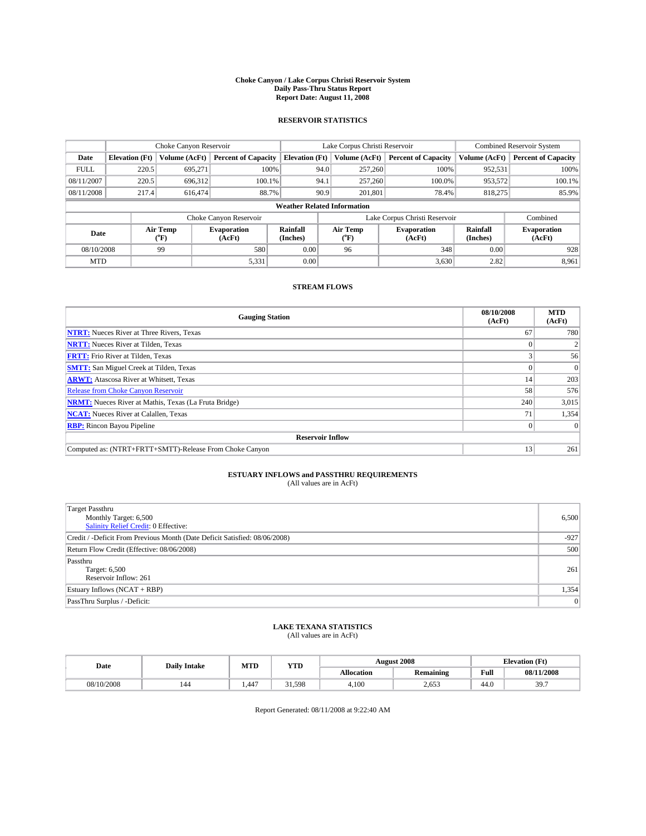#### **Choke Canyon / Lake Corpus Christi Reservoir System Daily Pass-Thru Status Report Report Date: August 11, 2008**

### **RESERVOIR STATISTICS**

|             | Choke Canyon Reservoir    |                             |                              | Lake Corpus Christi Reservoir      |                               | <b>Combined Reservoir System</b> |                              |                      |                              |
|-------------|---------------------------|-----------------------------|------------------------------|------------------------------------|-------------------------------|----------------------------------|------------------------------|----------------------|------------------------------|
| Date        | <b>Elevation</b> (Ft)     | Volume (AcFt)               | <b>Percent of Capacity</b>   | <b>Elevation</b> (Ft)              |                               | Volume (AcFt)                    | <b>Percent of Capacity</b>   | Volume (AcFt)        | <b>Percent of Capacity</b>   |
| <b>FULL</b> | 220.5                     | 695,271                     | 100%                         |                                    | 94.0                          | 257,260                          | 100%                         | 952,531              | 100%                         |
| 08/11/2007  | 220.5                     | 696,312                     | 100.1%                       |                                    | 94.1                          | 257,260                          | 100.0%                       | 953,572              | 100.1%                       |
| 08/11/2008  | 217.4<br>88.7%<br>616,474 |                             |                              | 90.9                               | 201.801                       | 78.4%                            | 818,275                      | 85.9%                |                              |
|             |                           |                             |                              | <b>Weather Related Information</b> |                               |                                  |                              |                      |                              |
|             |                           |                             | Choke Canyon Reservoir       |                                    | Lake Corpus Christi Reservoir |                                  |                              |                      | Combined                     |
| Date        |                           | Air Temp<br>${}^{\circ}$ F) | <b>Evaporation</b><br>(AcFt) | Rainfall<br>(Inches)               |                               | Air Temp<br>("F)                 | <b>Evaporation</b><br>(AcFt) | Rainfall<br>(Inches) | <b>Evaporation</b><br>(AcFt) |
| 08/10/2008  |                           | 99                          | 580                          | 0.00                               |                               | 96                               | 348                          | 0.00                 | 928                          |
| <b>MTD</b>  |                           |                             | 5,331                        | 0.00                               |                               |                                  | 3,630                        | 2.82                 | 8,961                        |

### **STREAM FLOWS**

| <b>Gauging Station</b>                                       | 08/10/2008<br>(AcFt) | <b>MTD</b><br>(AcFt) |
|--------------------------------------------------------------|----------------------|----------------------|
| <b>NTRT:</b> Nueces River at Three Rivers, Texas             | 67                   | 780                  |
| <b>NRTT:</b> Nueces River at Tilden, Texas                   |                      |                      |
| <b>FRTT:</b> Frio River at Tilden, Texas                     |                      | 56                   |
| <b>SMTT:</b> San Miguel Creek at Tilden, Texas               |                      |                      |
| <b>ARWT:</b> Atascosa River at Whitsett, Texas               | 14                   | 203                  |
| <b>Release from Choke Canyon Reservoir</b>                   | 58                   | 576                  |
| <b>NRMT:</b> Nueces River at Mathis, Texas (La Fruta Bridge) | 240                  | 3,015                |
| <b>NCAT:</b> Nueces River at Calallen, Texas                 | 71                   | 1,354                |
| <b>RBP:</b> Rincon Bayou Pipeline                            | $\theta$             |                      |
| <b>Reservoir Inflow</b>                                      |                      |                      |
| Computed as: (NTRT+FRTT+SMTT)-Release From Choke Canyon      | 13                   | 261                  |

## **ESTUARY INFLOWS and PASSTHRU REQUIREMENTS**

| (All values are in AcFt) |  |  |
|--------------------------|--|--|
|--------------------------|--|--|

| <b>Target Passthru</b><br>Monthly Target: 6,500<br>Salinity Relief Credit: 0 Effective: | 6,500  |
|-----------------------------------------------------------------------------------------|--------|
| Credit / -Deficit From Previous Month (Date Deficit Satisfied: 08/06/2008)              | $-927$ |
| Return Flow Credit (Effective: 08/06/2008)                                              | 500    |
| Passthru<br>Target: 6,500<br>Reservoir Inflow: 261                                      | 261    |
| Estuary Inflows (NCAT + RBP)                                                            | 1,354  |
| PassThru Surplus / -Deficit:                                                            | 0      |

# **LAKE TEXANA STATISTICS** (All values are in AcFt)

| Date       | <b>Daily Intake</b> | MTD  | <b>YTD</b> |            | <b>August 2008</b> |      | <b>CEA</b><br>Elevation<br>гı |
|------------|---------------------|------|------------|------------|--------------------|------|-------------------------------|
|            |                     |      |            | Allocation | Remaining          | Full | 08/11/2008                    |
| 08/10/2008 | 144                 | .447 | 31.598     | 4.100      | 2.653              | 44.0 | 397<br>J.I.                   |

Report Generated: 08/11/2008 at 9:22:40 AM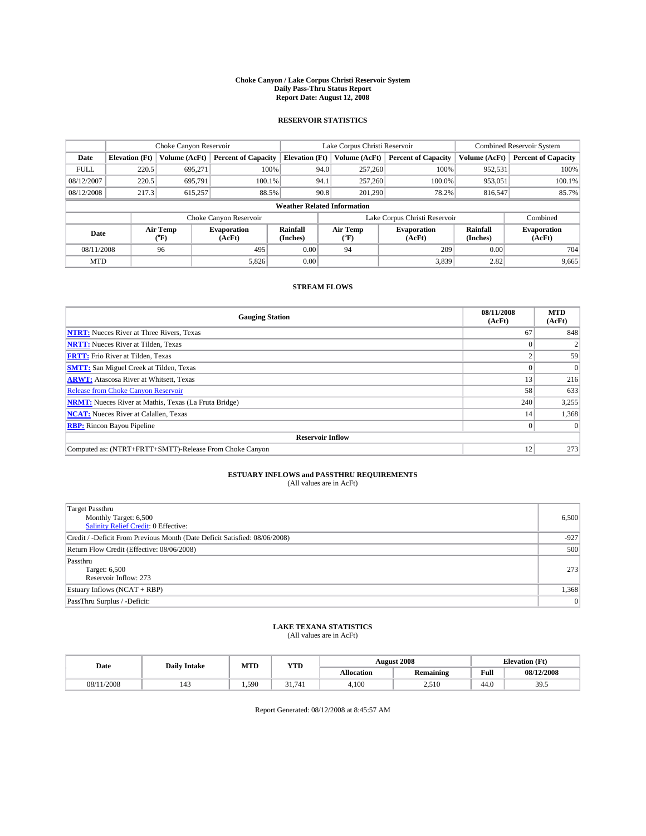#### **Choke Canyon / Lake Corpus Christi Reservoir System Daily Pass-Thru Status Report Report Date: August 12, 2008**

### **RESERVOIR STATISTICS**

|             | Choke Canyon Reservoir    |                  |                              | Lake Corpus Christi Reservoir      |         | <b>Combined Reservoir System</b> |                               |                      |                              |
|-------------|---------------------------|------------------|------------------------------|------------------------------------|---------|----------------------------------|-------------------------------|----------------------|------------------------------|
| Date        | <b>Elevation</b> (Ft)     | Volume (AcFt)    | <b>Percent of Capacity</b>   | <b>Elevation</b> (Ft)              |         | Volume (AcFt)                    | <b>Percent of Capacity</b>    | Volume (AcFt)        | <b>Percent of Capacity</b>   |
| <b>FULL</b> | 220.5                     | 695,271          | 100%                         |                                    | 94.0    | 257,260                          | 100%                          | 952,531              | 100%                         |
| 08/12/2007  | 220.5                     | 695.791          | $100.1\%$                    |                                    | 94.1    | 257,260                          | 100.0%                        | 953,051              | 100.1%                       |
| 08/12/2008  | 217.3<br>615,257<br>88.5% |                  |                              | 90.8                               | 201.290 | 78.2%                            | 816,547                       | 85.7%                |                              |
|             |                           |                  |                              | <b>Weather Related Information</b> |         |                                  |                               |                      |                              |
|             |                           |                  | Choke Canyon Reservoir       |                                    |         |                                  | Lake Corpus Christi Reservoir |                      | Combined                     |
| Date        |                           | Air Temp<br>(°F) | <b>Evaporation</b><br>(AcFt) | Rainfall<br>(Inches)               |         | Air Temp<br>("F)                 | <b>Evaporation</b><br>(AcFt)  | Rainfall<br>(Inches) | <b>Evaporation</b><br>(AcFt) |
| 08/11/2008  |                           | 96               | 495                          | 0.00                               |         | 94                               | 209                           | 0.00                 | 704                          |
| <b>MTD</b>  |                           |                  | 5,826                        | 0.00                               |         |                                  | 3,839                         | 2.82                 | 9,665                        |

### **STREAM FLOWS**

| <b>Gauging Station</b>                                       | 08/11/2008<br>(AcFt) | <b>MTD</b><br>(AcFt) |  |  |  |
|--------------------------------------------------------------|----------------------|----------------------|--|--|--|
| <b>NTRT:</b> Nueces River at Three Rivers, Texas             | 67                   | 848                  |  |  |  |
| <b>NRTT:</b> Nueces River at Tilden, Texas                   |                      |                      |  |  |  |
| <b>FRTT:</b> Frio River at Tilden, Texas                     |                      | 59                   |  |  |  |
| <b>SMTT:</b> San Miguel Creek at Tilden, Texas               |                      | $\Omega$             |  |  |  |
| <b>ARWT:</b> Atascosa River at Whitsett, Texas               | 13                   | 216                  |  |  |  |
| <b>Release from Choke Canyon Reservoir</b>                   | 58                   | 633                  |  |  |  |
| <b>NRMT:</b> Nueces River at Mathis, Texas (La Fruta Bridge) | 240                  | 3,255                |  |  |  |
| <b>NCAT:</b> Nueces River at Calallen, Texas                 | 14                   | 1,368                |  |  |  |
| <b>RBP:</b> Rincon Bayou Pipeline                            | $\overline{0}$       |                      |  |  |  |
| <b>Reservoir Inflow</b>                                      |                      |                      |  |  |  |
| Computed as: (NTRT+FRTT+SMTT)-Release From Choke Canyon      | 12                   | 273                  |  |  |  |

## **ESTUARY INFLOWS and PASSTHRU REQUIREMENTS**

| (All values are in AcFt) |  |  |
|--------------------------|--|--|
|--------------------------|--|--|

| <b>Target Passthru</b><br>Monthly Target: 6,500<br>Salinity Relief Credit: 0 Effective: | 6,500  |
|-----------------------------------------------------------------------------------------|--------|
| Credit / -Deficit From Previous Month (Date Deficit Satisfied: 08/06/2008)              | $-927$ |
| Return Flow Credit (Effective: 08/06/2008)                                              | 500    |
| Passthru<br>Target: 6,500<br>Reservoir Inflow: 273                                      | 273    |
| Estuary Inflows (NCAT + RBP)                                                            | 1,368  |
| PassThru Surplus / -Deficit:                                                            | 0      |

# **LAKE TEXANA STATISTICS** (All values are in AcFt)

| Date       | <b>Daily Intake</b> | MTD   | <b>WTPD</b><br>1 I.D |       | <b>August 2008</b>   |           | $T+$<br><b>Elevation</b> (<br>LE L |            |
|------------|---------------------|-------|----------------------|-------|----------------------|-----------|------------------------------------|------------|
|            |                     |       |                      |       | <b>Allocation</b>    | Remaining | Full                               | 08/12/2008 |
| 08/11/2008 | 14.                 | 1.590 | 741                  | 4.100 | $\sim$ $\sim$ $\sim$ | 44.0      | $\gamma$<br>≺ч<br>ن. ر ر           |            |

Report Generated: 08/12/2008 at 8:45:57 AM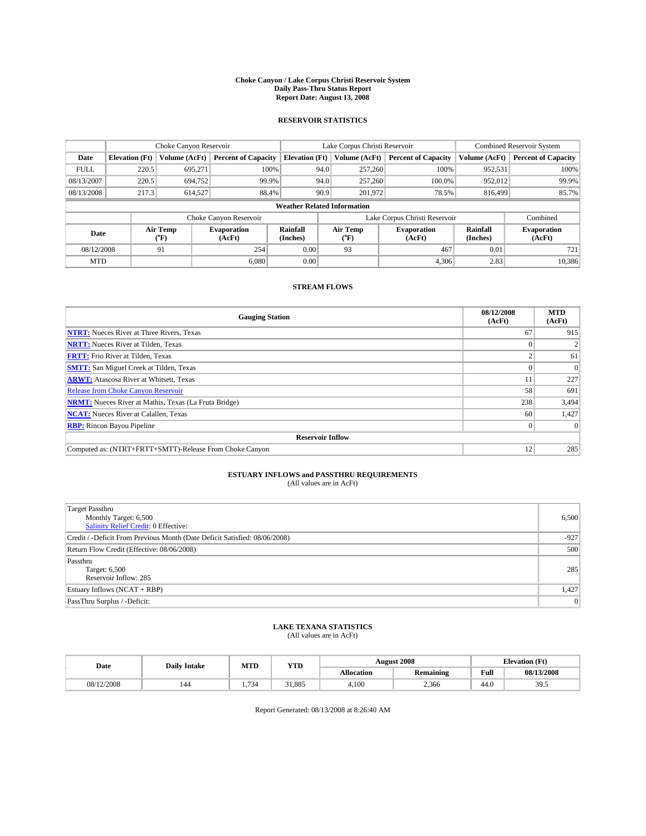#### **Choke Canyon / Lake Corpus Christi Reservoir System Daily Pass-Thru Status Report Report Date: August 13, 2008**

### **RESERVOIR STATISTICS**

|             | Choke Canyon Reservoir |                  |                              |                                    | Lake Corpus Christi Reservoir |                  |                               | <b>Combined Reservoir System</b> |                              |
|-------------|------------------------|------------------|------------------------------|------------------------------------|-------------------------------|------------------|-------------------------------|----------------------------------|------------------------------|
| Date        | <b>Elevation</b> (Ft)  | Volume (AcFt)    | <b>Percent of Capacity</b>   | <b>Elevation</b> (Ft)              |                               | Volume (AcFt)    | <b>Percent of Capacity</b>    | Volume (AcFt)                    | <b>Percent of Capacity</b>   |
| <b>FULL</b> | 220.5                  | 695,271          | 100%                         |                                    | 94.0                          | 257,260          | 100%                          | 952,531                          | 100%                         |
| 08/13/2007  | 220.5                  | 694,752          | 99.9%                        |                                    | 94.0                          | 257,260          | 100.0%                        | 952,012                          | 99.9%                        |
| 08/13/2008  | 217.3                  | 614.527          | 88.4%                        |                                    | 90.9                          | 201,972          | 78.5%                         | 816,499                          | 85.7%                        |
|             |                        |                  |                              | <b>Weather Related Information</b> |                               |                  |                               |                                  |                              |
|             |                        |                  | Choke Canyon Reservoir       |                                    |                               |                  | Lake Corpus Christi Reservoir |                                  | Combined                     |
| Date        |                        | Air Temp<br>(°F) | <b>Evaporation</b><br>(AcFt) | Rainfall<br>(Inches)               |                               | Air Temp<br>("F) | <b>Evaporation</b><br>(AcFt)  | Rainfall<br>(Inches)             | <b>Evaporation</b><br>(AcFt) |
| 08/12/2008  |                        | 91               | 254                          | 0.00                               |                               | 93               | 467                           | 0.01                             | 721                          |
| <b>MTD</b>  |                        |                  | 6.080                        | 0.00                               |                               |                  | 4.306                         | 2.83                             | 10,386                       |

### **STREAM FLOWS**

| <b>Gauging Station</b>                                       | 08/12/2008<br>(AcFt) | <b>MTD</b><br>(AcFt) |  |  |  |
|--------------------------------------------------------------|----------------------|----------------------|--|--|--|
| <b>NTRT:</b> Nueces River at Three Rivers, Texas             | 67                   | 915                  |  |  |  |
| <b>NRTT:</b> Nueces River at Tilden, Texas                   |                      |                      |  |  |  |
| <b>FRTT:</b> Frio River at Tilden, Texas                     |                      | 61                   |  |  |  |
| <b>SMTT:</b> San Miguel Creek at Tilden, Texas               |                      |                      |  |  |  |
| <b>ARWT:</b> Atascosa River at Whitsett, Texas               | 11                   | 227                  |  |  |  |
| <b>Release from Choke Canyon Reservoir</b>                   | 58                   | 691                  |  |  |  |
| <b>NRMT:</b> Nueces River at Mathis, Texas (La Fruta Bridge) | 238                  | 3,494                |  |  |  |
| <b>NCAT:</b> Nueces River at Calallen, Texas                 | 60                   | 1,427                |  |  |  |
| <b>RBP:</b> Rincon Bayou Pipeline                            | $\theta$             |                      |  |  |  |
| <b>Reservoir Inflow</b>                                      |                      |                      |  |  |  |
| Computed as: (NTRT+FRTT+SMTT)-Release From Choke Canyon      | 12                   | 285                  |  |  |  |

# **ESTUARY INFLOWS and PASSTHRU REQUIREMENTS**

| (All values are in AcFt) |  |  |
|--------------------------|--|--|
|--------------------------|--|--|

| <b>Target Passthru</b><br>Monthly Target: 6,500<br>Salinity Relief Credit: 0 Effective: | 6,500  |
|-----------------------------------------------------------------------------------------|--------|
| Credit / -Deficit From Previous Month (Date Deficit Satisfied: 08/06/2008)              | $-927$ |
| Return Flow Credit (Effective: 08/06/2008)                                              | 500    |
| Passthru<br>Target: 6,500<br>Reservoir Inflow: 285                                      | 285    |
| Estuary Inflows (NCAT + RBP)                                                            | 1,427  |
| PassThru Surplus / -Deficit:                                                            | 0      |

# **LAKE TEXANA STATISTICS** (All values are in AcFt)

| Date       | <b>Daily Intake</b> | MTD | YTD    |                   | <b>August 2008</b> |      | <b>Elevation</b> (Ft) |
|------------|---------------------|-----|--------|-------------------|--------------------|------|-----------------------|
|            |                     |     |        | <b>Allocation</b> | <b>Remaining</b>   | Full | 08/13/2008            |
| 08/12/2008 | 144                 | 734 | 31.885 | 4.100             | 2.366              | 44.0 | 305<br>ں ر            |

Report Generated: 08/13/2008 at 8:26:40 AM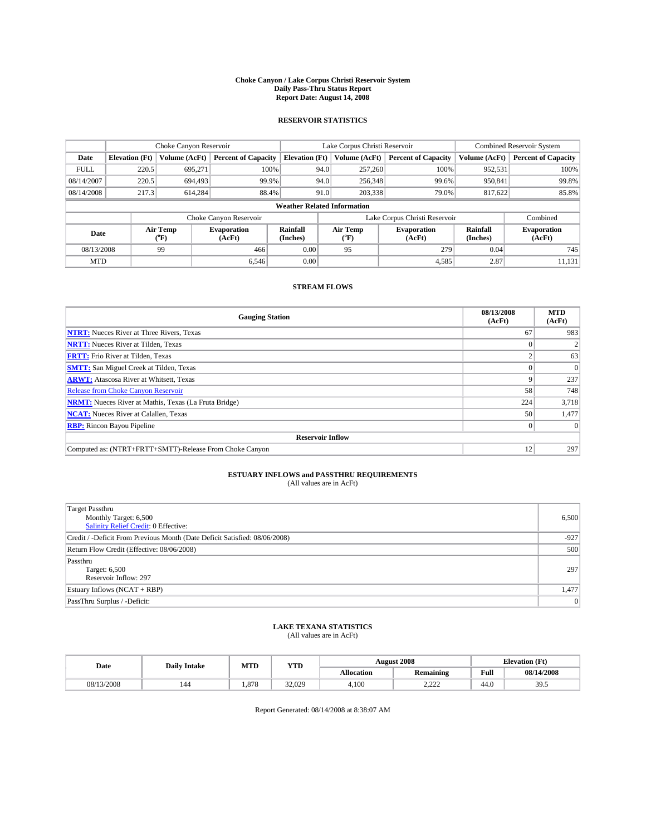#### **Choke Canyon / Lake Corpus Christi Reservoir System Daily Pass-Thru Status Report Report Date: August 14, 2008**

### **RESERVOIR STATISTICS**

|             | Choke Canyon Reservoir |                  |                              |                                    | Lake Corpus Christi Reservoir |                  |                               | <b>Combined Reservoir System</b> |                              |
|-------------|------------------------|------------------|------------------------------|------------------------------------|-------------------------------|------------------|-------------------------------|----------------------------------|------------------------------|
| Date        | <b>Elevation</b> (Ft)  | Volume (AcFt)    | <b>Percent of Capacity</b>   | <b>Elevation</b> (Ft)              |                               | Volume (AcFt)    | <b>Percent of Capacity</b>    | Volume (AcFt)                    | <b>Percent of Capacity</b>   |
| <b>FULL</b> | 220.5                  | 695,271          | 100%                         |                                    | 94.0                          | 257,260          | 100%                          | 952,531                          | 100%                         |
| 08/14/2007  | 220.5                  | 694.493          | 99.9%                        |                                    | 94.0                          | 256,348          | 99.6%                         | 950,841                          | 99.8%                        |
| 08/14/2008  | 217.3                  | 614.284          | 88.4%                        |                                    | 91.0                          | 203,338          | 79.0%                         | 817,622                          | 85.8%                        |
|             |                        |                  |                              | <b>Weather Related Information</b> |                               |                  |                               |                                  |                              |
|             |                        |                  | Choke Canyon Reservoir       |                                    |                               |                  | Lake Corpus Christi Reservoir |                                  | Combined                     |
| Date        |                        | Air Temp<br>(°F) | <b>Evaporation</b><br>(AcFt) | Rainfall<br>(Inches)               |                               | Air Temp<br>("F) | <b>Evaporation</b><br>(AcFt)  | Rainfall<br>(Inches)             | <b>Evaporation</b><br>(AcFt) |
| 08/13/2008  |                        | 99               | 466                          | 0.00                               |                               | 95               | 279                           | 0.04                             | 745                          |
| <b>MTD</b>  |                        |                  | 6.546                        | 0.00                               |                               |                  | 4,585                         | 2.87                             | 11,131                       |

### **STREAM FLOWS**

| <b>Gauging Station</b>                                       | 08/13/2008<br>(AcFt) | <b>MTD</b><br>(AcFt) |  |  |  |
|--------------------------------------------------------------|----------------------|----------------------|--|--|--|
| <b>NTRT:</b> Nueces River at Three Rivers, Texas             | 67                   | 983                  |  |  |  |
| <b>NRTT:</b> Nueces River at Tilden, Texas                   |                      |                      |  |  |  |
| <b>FRTT:</b> Frio River at Tilden, Texas                     |                      | 63                   |  |  |  |
| <b>SMTT:</b> San Miguel Creek at Tilden, Texas               |                      | $\Omega$             |  |  |  |
| <b>ARWT:</b> Atascosa River at Whitsett, Texas               |                      | 237                  |  |  |  |
| <b>Release from Choke Canyon Reservoir</b>                   | 58                   | 748                  |  |  |  |
| <b>NRMT:</b> Nueces River at Mathis, Texas (La Fruta Bridge) | 224                  | 3,718                |  |  |  |
| <b>NCAT:</b> Nueces River at Calallen, Texas                 | 50                   | 1,477                |  |  |  |
| <b>RBP:</b> Rincon Bayou Pipeline                            |                      | $\Omega$             |  |  |  |
| <b>Reservoir Inflow</b>                                      |                      |                      |  |  |  |
| Computed as: (NTRT+FRTT+SMTT)-Release From Choke Canyon      | 12                   | 297                  |  |  |  |

## **ESTUARY INFLOWS and PASSTHRU REQUIREMENTS**

| (All values are in AcFt) |  |  |
|--------------------------|--|--|
|--------------------------|--|--|

| <b>Target Passthru</b><br>Monthly Target: 6,500<br>Salinity Relief Credit: 0 Effective: | 6,500  |
|-----------------------------------------------------------------------------------------|--------|
| Credit / -Deficit From Previous Month (Date Deficit Satisfied: 08/06/2008)              | $-927$ |
| Return Flow Credit (Effective: 08/06/2008)                                              | 500    |
| Passthru<br>Target: 6,500<br>Reservoir Inflow: 297                                      | 297    |
| Estuary Inflows (NCAT + RBP)                                                            | 1,477  |
| PassThru Surplus / -Deficit:                                                            | 0      |

# **LAKE TEXANA STATISTICS** (All values are in AcFt)

| Date       | <b>Daily Intake</b> | MTD  | <b>WTPD</b><br>1 I D |                   | <b>August 2008</b> | CT4<br><b>Elevation</b> (<br>гı |                          |
|------------|---------------------|------|----------------------|-------------------|--------------------|---------------------------------|--------------------------|
|            |                     |      |                      | <b>Allocation</b> | Remaining          | Full                            | 08/14/2008               |
| 08/13/2008 | 144                 | .878 | 32,029               | 4.10C             | $\sim$<br>-----    | 44.0                            | $\gamma$<br>≺ч<br>ن. ر ر |

Report Generated: 08/14/2008 at 8:38:07 AM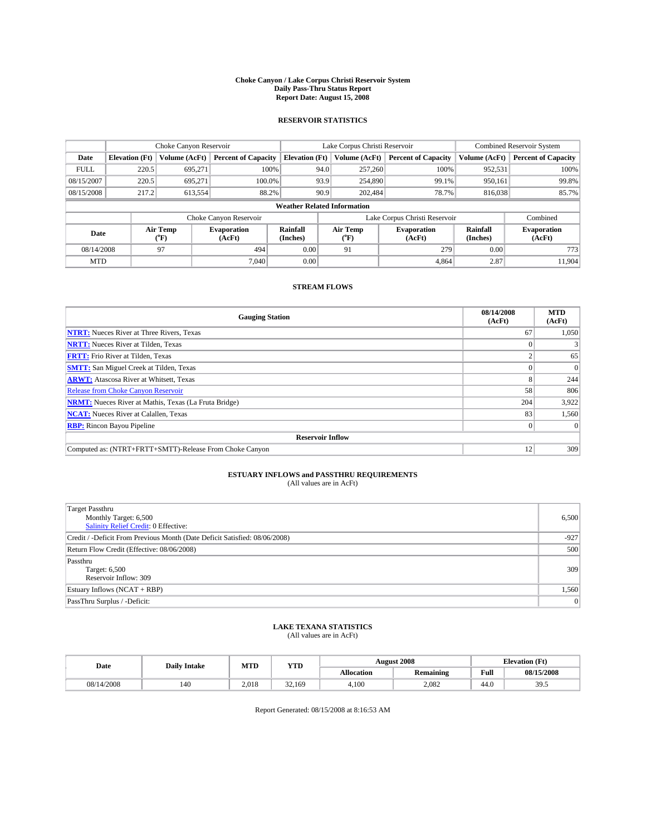#### **Choke Canyon / Lake Corpus Christi Reservoir System Daily Pass-Thru Status Report Report Date: August 15, 2008**

### **RESERVOIR STATISTICS**

|             | Choke Canyon Reservoir                                                                                                               |               |                            |                                    | Lake Corpus Christi Reservoir |               |                            |               | <b>Combined Reservoir System</b> |  |  |
|-------------|--------------------------------------------------------------------------------------------------------------------------------------|---------------|----------------------------|------------------------------------|-------------------------------|---------------|----------------------------|---------------|----------------------------------|--|--|
| Date        | <b>Elevation</b> (Ft)                                                                                                                | Volume (AcFt) | <b>Percent of Capacity</b> | <b>Elevation</b> (Ft)              |                               | Volume (AcFt) | <b>Percent of Capacity</b> | Volume (AcFt) | <b>Percent of Capacity</b>       |  |  |
| <b>FULL</b> | 220.5                                                                                                                                | 695,271       | 100%                       |                                    | 94.0                          | 257,260       | 100%                       | 952,531       | 100%                             |  |  |
| 08/15/2007  | 220.5                                                                                                                                | 695,271       | 100.0%                     |                                    | 93.9                          | 254,890       | 99.1%                      | 950,161       | 99.8%                            |  |  |
| 08/15/2008  | 217.2                                                                                                                                | 613,554       | 88.2%                      |                                    | 90.9                          | 202.484       | 78.7%                      | 816,038       | 85.7%                            |  |  |
|             |                                                                                                                                      |               |                            | <b>Weather Related Information</b> |                               |               |                            |               |                                  |  |  |
|             |                                                                                                                                      |               | Choke Canyon Reservoir     |                                    | Lake Corpus Christi Reservoir |               |                            |               | Combined                         |  |  |
|             | Air Temp<br>Rainfall<br>Air Temp<br><b>Evaporation</b><br><b>Evaporation</b><br>Date<br>(Inches)<br>(AcFt)<br>(°F)<br>(AcFt)<br>("F) |               | Rainfall<br>(Inches)       | <b>Evaporation</b><br>(AcFt)       |                               |               |                            |               |                                  |  |  |
| 08/14/2008  |                                                                                                                                      | 97            | 494                        | 0.00                               |                               | 91            | 279                        | 0.00          | 773                              |  |  |
| <b>MTD</b>  |                                                                                                                                      |               | 7.040                      | 0.00                               |                               |               | 4.864                      | 2.87          | 11.904                           |  |  |

### **STREAM FLOWS**

| <b>Gauging Station</b>                                       | 08/14/2008<br>(AcFt) | <b>MTD</b><br>(AcFt) |
|--------------------------------------------------------------|----------------------|----------------------|
| <b>NTRT:</b> Nueces River at Three Rivers, Texas             | 67                   | 1,050                |
| <b>NRTT:</b> Nueces River at Tilden, Texas                   |                      |                      |
| <b>FRTT:</b> Frio River at Tilden, Texas                     |                      | 65                   |
| <b>SMTT:</b> San Miguel Creek at Tilden, Texas               |                      | $\overline{0}$       |
| <b>ARWT:</b> Atascosa River at Whitsett, Texas               |                      | 244                  |
| <b>Release from Choke Canyon Reservoir</b>                   | 58                   | 806                  |
| <b>NRMT:</b> Nueces River at Mathis, Texas (La Fruta Bridge) | 204                  | 3,922                |
| <b>NCAT:</b> Nueces River at Calallen, Texas                 | 83                   | 1,560                |
| <b>RBP:</b> Rincon Bayou Pipeline                            |                      | $\Omega$             |
| <b>Reservoir Inflow</b>                                      |                      |                      |
| Computed as: (NTRT+FRTT+SMTT)-Release From Choke Canyon      | 12                   | 309                  |

# **ESTUARY INFLOWS and PASSTHRU REQUIREMENTS**

| (All values are in AcFt) |  |  |
|--------------------------|--|--|
|--------------------------|--|--|

| <b>Target Passthru</b><br>Monthly Target: 6,500<br>Salinity Relief Credit: 0 Effective: | 6,500  |
|-----------------------------------------------------------------------------------------|--------|
| Credit / -Deficit From Previous Month (Date Deficit Satisfied: 08/06/2008)              | $-927$ |
| Return Flow Credit (Effective: 08/06/2008)                                              | 500    |
| Passthru<br>Target: 6,500<br>Reservoir Inflow: 309                                      | 309    |
| Estuary Inflows (NCAT + RBP)                                                            | 1,560  |
| PassThru Surplus / -Deficit:                                                            | 0      |

## **LAKE TEXANA STATISTICS** (All values are in AcFt)

| Date       | <b>Daily Intake</b> | MTD   | <b>WTPD</b><br>1 I.D |                   | <b>August 2008</b> | $\sqrt{1}$<br><b>Elevation</b> (<br>LE L |                          |
|------------|---------------------|-------|----------------------|-------------------|--------------------|------------------------------------------|--------------------------|
|            |                     |       |                      | <b>Allocation</b> | Remaining          | Full                                     | 08/15/2008               |
| 08/14/2008 | 140                 | 2.018 | 32<br>.169<br>ے ر    | 4.100             | 2,082              | 44.0                                     | $\gamma$<br>≺ч<br>ن. ر ر |

Report Generated: 08/15/2008 at 8:16:53 AM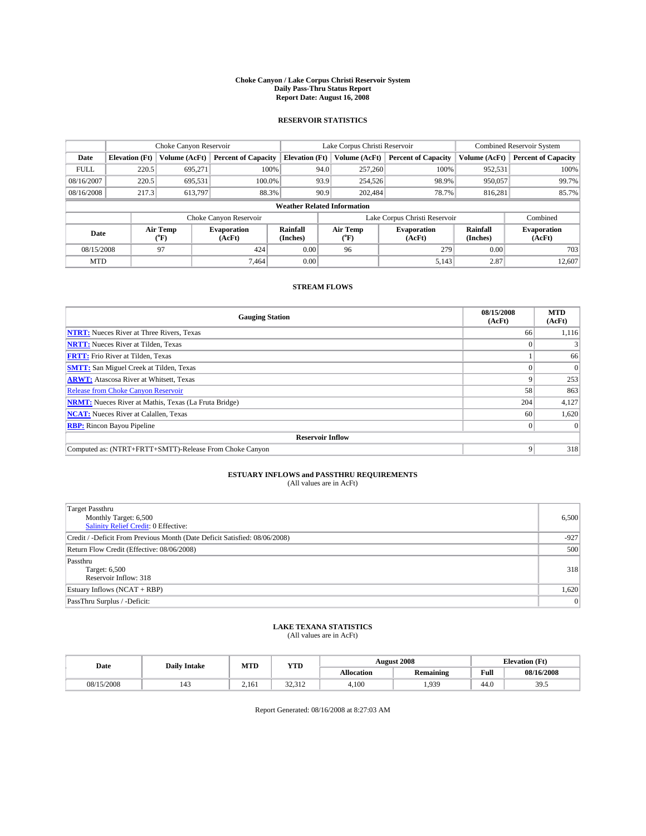#### **Choke Canyon / Lake Corpus Christi Reservoir System Daily Pass-Thru Status Report Report Date: August 16, 2008**

### **RESERVOIR STATISTICS**

|             | Choke Canyon Reservoir |                             | Lake Corpus Christi Reservoir |                                    |                               |                  | <b>Combined Reservoir System</b> |                      |                              |
|-------------|------------------------|-----------------------------|-------------------------------|------------------------------------|-------------------------------|------------------|----------------------------------|----------------------|------------------------------|
| Date        | <b>Elevation</b> (Ft)  | Volume (AcFt)               | <b>Percent of Capacity</b>    | <b>Elevation</b> (Ft)              |                               | Volume (AcFt)    | <b>Percent of Capacity</b>       | Volume (AcFt)        | <b>Percent of Capacity</b>   |
| <b>FULL</b> | 220.5                  | 695,271                     | 100%                          |                                    | 94.0                          | 257,260          | 100%                             | 952,531              | 100%                         |
| 08/16/2007  | 220.5                  | 695,531                     | 100.0%                        |                                    | 93.9                          | 254,526          | 98.9%                            | 950.057              | 99.7%                        |
| 08/16/2008  | 217.3                  | 613.797                     | 88.3%                         |                                    | 90.9                          | 202.484          | 78.7%                            | 816.281              | 85.7%                        |
|             |                        |                             |                               | <b>Weather Related Information</b> |                               |                  |                                  |                      |                              |
|             |                        |                             | Choke Canyon Reservoir        |                                    | Lake Corpus Christi Reservoir |                  |                                  |                      | Combined                     |
| Date        |                        | Air Temp<br>${}^{\circ}$ F) | <b>Evaporation</b><br>(AcFt)  | Rainfall<br>(Inches)               |                               | Air Temp<br>("F) | <b>Evaporation</b><br>(AcFt)     | Rainfall<br>(Inches) | <b>Evaporation</b><br>(AcFt) |
| 08/15/2008  |                        | 97                          | 424                           | 0.00                               |                               | 96               | 279                              | 0.00                 | 703                          |
| <b>MTD</b>  |                        |                             | 7.464                         | 0.00                               |                               |                  | 5,143                            | 2.87                 | 12,607                       |

### **STREAM FLOWS**

| <b>Gauging Station</b>                                       | 08/15/2008<br>(AcFt) | <b>MTD</b><br>(AcFt) |
|--------------------------------------------------------------|----------------------|----------------------|
| <b>NTRT:</b> Nueces River at Three Rivers, Texas             | 66                   | 1,116                |
| <b>NRTT:</b> Nueces River at Tilden, Texas                   |                      |                      |
| <b>FRTT:</b> Frio River at Tilden, Texas                     |                      | 66                   |
| <b>SMTT:</b> San Miguel Creek at Tilden, Texas               |                      |                      |
| <b>ARWT:</b> Atascosa River at Whitsett, Texas               | 9                    | 253                  |
| Release from Choke Canyon Reservoir                          | 58                   | 863                  |
| <b>NRMT:</b> Nueces River at Mathis, Texas (La Fruta Bridge) | 204                  | 4,127                |
| <b>NCAT:</b> Nueces River at Calallen, Texas                 | 60                   | 1,620                |
| <b>RBP:</b> Rincon Bayou Pipeline                            | $\overline{0}$       |                      |
| <b>Reservoir Inflow</b>                                      |                      |                      |
| Computed as: (NTRT+FRTT+SMTT)-Release From Choke Canyon      | 9                    | 318                  |

# **ESTUARY INFLOWS and PASSTHRU REQUIREMENTS**<br>(All values are in AcFt)

| <b>Target Passthru</b><br>Monthly Target: 6,500<br>Salinity Relief Credit: 0 Effective: | 6,500  |
|-----------------------------------------------------------------------------------------|--------|
| Credit / -Deficit From Previous Month (Date Deficit Satisfied: 08/06/2008)              | $-927$ |
| Return Flow Credit (Effective: 08/06/2008)                                              | 500    |
| Passthru<br>Target: 6,500<br>Reservoir Inflow: 318                                      | 318    |
| Estuary Inflows $(NCAT + RBP)$                                                          | 1,620  |
| PassThru Surplus / -Deficit:                                                            | 0      |

## **LAKE TEXANA STATISTICS** (All values are in AcFt)

| Date       | <b>Daily Intake</b> | MTD   | WTD<br>Y 1.D                       |                   | <b>August 2008</b> | <b>CEA</b><br>Elevation (<br>гı |            |
|------------|---------------------|-------|------------------------------------|-------------------|--------------------|---------------------------------|------------|
|            |                     |       |                                    | <b>Allocation</b> | Remaining          | Full                            | 08/16/2008 |
| 08/15/2008 | ---                 | 2.161 | $\sim$<br>$\sim$ $\sim$<br>ے دیے ت | 4.100             | 1.939              | 44.0                            | 20<br>ں ر  |

Report Generated: 08/16/2008 at 8:27:03 AM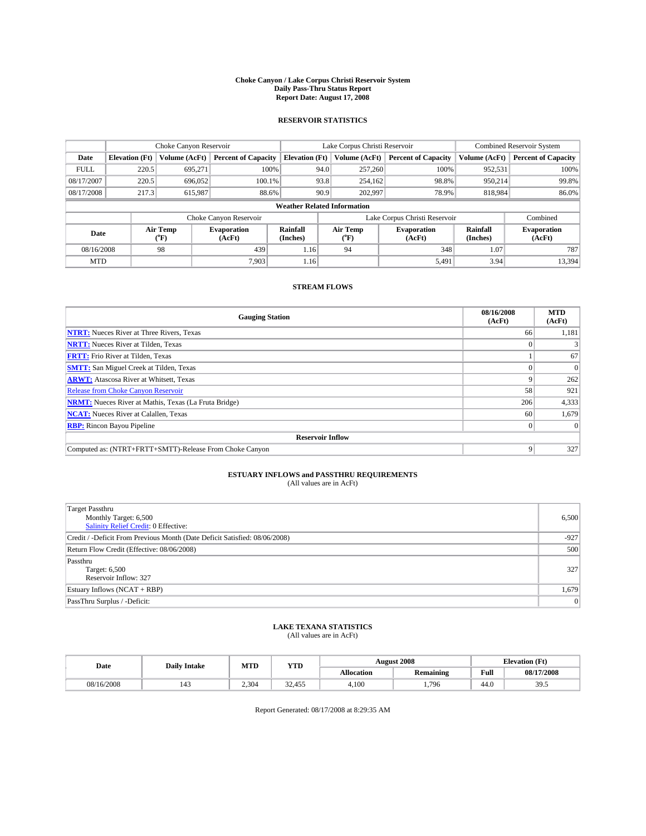#### **Choke Canyon / Lake Corpus Christi Reservoir System Daily Pass-Thru Status Report Report Date: August 17, 2008**

### **RESERVOIR STATISTICS**

|             | Choke Canyon Reservoir |                  | Lake Corpus Christi Reservoir |                                    |                               |                  | <b>Combined Reservoir System</b> |                      |                              |
|-------------|------------------------|------------------|-------------------------------|------------------------------------|-------------------------------|------------------|----------------------------------|----------------------|------------------------------|
| Date        | <b>Elevation</b> (Ft)  | Volume (AcFt)    | <b>Percent of Capacity</b>    | <b>Elevation</b> (Ft)              |                               | Volume (AcFt)    | <b>Percent of Capacity</b>       | Volume (AcFt)        | <b>Percent of Capacity</b>   |
| <b>FULL</b> | 220.5                  | 695,271          | 100%                          |                                    | 94.0                          | 257,260          | 100%                             | 952,531              | 100%                         |
| 08/17/2007  | 220.5                  | 696,052          | $100.1\%$                     |                                    | 93.8                          | 254,162          | 98.8%                            | 950.214              | 99.8%                        |
| 08/17/2008  | 217.3                  | 615,987          | 88.6%                         |                                    | 90.9                          | 202,997          | 78.9%                            | 818,984              | 86.0%                        |
|             |                        |                  |                               | <b>Weather Related Information</b> |                               |                  |                                  |                      |                              |
|             |                        |                  | Choke Canyon Reservoir        |                                    | Lake Corpus Christi Reservoir |                  |                                  |                      | Combined                     |
| Date        |                        | Air Temp<br>(°F) | <b>Evaporation</b><br>(AcFt)  | Rainfall<br>(Inches)               |                               | Air Temp<br>("F) | <b>Evaporation</b><br>(AcFt)     | Rainfall<br>(Inches) | <b>Evaporation</b><br>(AcFt) |
| 08/16/2008  |                        | 98               | 439                           | 1.16                               |                               | 94               | 348                              | 1.07                 | 787                          |
| <b>MTD</b>  |                        |                  | 7.903                         | 1.16                               |                               |                  | 5,491                            | 3.94                 | 13,394                       |

### **STREAM FLOWS**

| <b>Gauging Station</b>                                       | 08/16/2008<br>(AcFt) | <b>MTD</b><br>(AcFt) |
|--------------------------------------------------------------|----------------------|----------------------|
| <b>NTRT:</b> Nueces River at Three Rivers, Texas             | 66                   | 1,181                |
| <b>NRTT:</b> Nueces River at Tilden, Texas                   |                      |                      |
| <b>FRTT:</b> Frio River at Tilden, Texas                     |                      | 67                   |
| <b>SMTT:</b> San Miguel Creek at Tilden, Texas               |                      | $\Omega$             |
| <b>ARWT:</b> Atascosa River at Whitsett, Texas               |                      | 262                  |
| <b>Release from Choke Canyon Reservoir</b>                   | 58                   | 921                  |
| <b>NRMT:</b> Nueces River at Mathis, Texas (La Fruta Bridge) | 206                  | 4,333                |
| <b>NCAT:</b> Nueces River at Calallen, Texas                 | 60                   | 1,679                |
| <b>RBP:</b> Rincon Bayou Pipeline                            |                      | $\Omega$             |
| <b>Reservoir Inflow</b>                                      |                      |                      |
| Computed as: (NTRT+FRTT+SMTT)-Release From Choke Canyon      | 9                    | 327                  |

# **ESTUARY INFLOWS and PASSTHRU REQUIREMENTS**

|  | (All values are in AcFt) |  |
|--|--------------------------|--|
|--|--------------------------|--|

| <b>Target Passthru</b><br>Monthly Target: 6,500<br>Salinity Relief Credit: 0 Effective: | 6,500     |
|-----------------------------------------------------------------------------------------|-----------|
| Credit / -Deficit From Previous Month (Date Deficit Satisfied: 08/06/2008)              | $-927$    |
| Return Flow Credit (Effective: 08/06/2008)                                              | 500       |
| Passthru<br>Target: 6,500<br>Reservoir Inflow: 327                                      | 327       |
| Estuary Inflows (NCAT + RBP)                                                            | 1,679     |
| PassThru Surplus / -Deficit:                                                            | $\vert$ 0 |

# **LAKE TEXANA STATISTICS** (All values are in AcFt)

| Date       | <b>Daily Intake</b> | MTD   | <b>WTPD</b><br>1 I.D     | August 2008       |           |      | $\sqrt{1}$<br><b>Elevation</b> (<br>LE L |
|------------|---------------------|-------|--------------------------|-------------------|-----------|------|------------------------------------------|
|            |                     |       |                          | <b>Allocation</b> | Remaining | Full | 08/17/2008                               |
| 08/16/2008 | $1 - 1$             | 2.304 | $\sim$<br>.455<br>، سە ب | 4.100             | .796      | 44.0 | $\gamma$<br>кu.<br>ن. ر ر                |

Report Generated: 08/17/2008 at 8:29:35 AM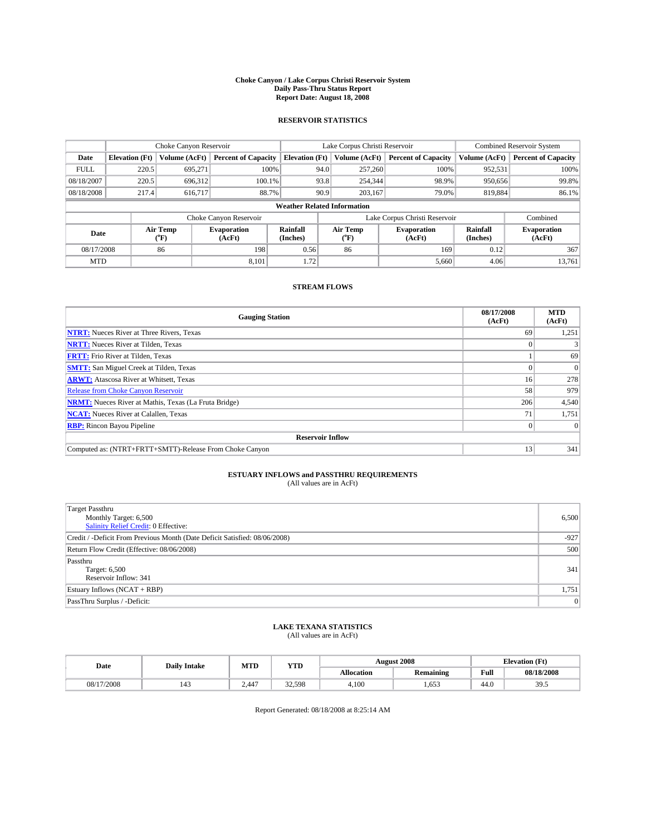#### **Choke Canyon / Lake Corpus Christi Reservoir System Daily Pass-Thru Status Report Report Date: August 18, 2008**

### **RESERVOIR STATISTICS**

|             | Choke Canyon Reservoir |                  |                              |                                    | Lake Corpus Christi Reservoir |                               |                      | <b>Combined Reservoir System</b> |  |
|-------------|------------------------|------------------|------------------------------|------------------------------------|-------------------------------|-------------------------------|----------------------|----------------------------------|--|
| Date        | <b>Elevation</b> (Ft)  | Volume (AcFt)    | <b>Percent of Capacity</b>   | <b>Elevation</b> (Ft)              | Volume (AcFt)                 | <b>Percent of Capacity</b>    | Volume (AcFt)        | <b>Percent of Capacity</b>       |  |
| <b>FULL</b> | 220.5                  | 695,271          | 100%                         |                                    | 257,260<br>94.0               | 100%                          | 952,531              | 100%                             |  |
| 08/18/2007  | 220.5                  | 696,312          | 100.1%                       |                                    | 93.8<br>254,344               | 98.9%                         | 950,656              | 99.8%                            |  |
| 08/18/2008  | 217.4                  | 616,717          | 88.7%                        |                                    | 90.9<br>203,167               | 79.0%                         | 819,884              | 86.1%                            |  |
|             |                        |                  |                              | <b>Weather Related Information</b> |                               |                               |                      |                                  |  |
|             |                        |                  | Choke Canyon Reservoir       |                                    |                               | Lake Corpus Christi Reservoir |                      | Combined                         |  |
| Date        |                        | Air Temp<br>(°F) | <b>Evaporation</b><br>(AcFt) | Rainfall<br>(Inches)               | Air Temp<br>("F)              | <b>Evaporation</b><br>(AcFt)  | Rainfall<br>(Inches) | <b>Evaporation</b><br>(AcFt)     |  |
| 08/17/2008  |                        | 86               | 198                          | 0.56                               | 86                            | 169                           | 0.12                 | 367                              |  |
| <b>MTD</b>  |                        |                  | 8.101                        | 1.72                               |                               | 5,660                         | 4.06                 | 13,761                           |  |

### **STREAM FLOWS**

| <b>Gauging Station</b>                                       | 08/17/2008<br>(AcFt) | <b>MTD</b><br>(AcFt) |
|--------------------------------------------------------------|----------------------|----------------------|
| <b>NTRT:</b> Nueces River at Three Rivers, Texas             | 69                   | 1,251                |
| <b>NRTT:</b> Nueces River at Tilden, Texas                   |                      |                      |
| <b>FRTT:</b> Frio River at Tilden, Texas                     |                      | 69                   |
| <b>SMTT:</b> San Miguel Creek at Tilden, Texas               |                      | $\Omega$             |
| <b>ARWT:</b> Atascosa River at Whitsett, Texas               | 16                   | 278                  |
| <b>Release from Choke Canyon Reservoir</b>                   | 58                   | 979                  |
| <b>NRMT:</b> Nueces River at Mathis, Texas (La Fruta Bridge) | 206                  | 4,540                |
| <b>NCAT:</b> Nueces River at Calallen, Texas                 | 71                   | 1,751                |
| <b>RBP:</b> Rincon Bayou Pipeline                            |                      | $\Omega$             |
| <b>Reservoir Inflow</b>                                      |                      |                      |
| Computed as: (NTRT+FRTT+SMTT)-Release From Choke Canyon      | 13                   | 341                  |

# **ESTUARY INFLOWS and PASSTHRU REQUIREMENTS**<br>(All values are in AcFt)

| <b>Target Passthru</b><br>Monthly Target: 6,500<br>Salinity Relief Credit: 0 Effective: | 6,500  |
|-----------------------------------------------------------------------------------------|--------|
| Credit / -Deficit From Previous Month (Date Deficit Satisfied: 08/06/2008)              | $-927$ |
| Return Flow Credit (Effective: 08/06/2008)                                              | 500    |
| Passthru<br>Target: 6,500<br>Reservoir Inflow: 341                                      | 341    |
| Estuary Inflows (NCAT + RBP)                                                            | 1,751  |
| PassThru Surplus / -Deficit:                                                            | 0      |

# **LAKE TEXANA STATISTICS** (All values are in AcFt)

| Date       | <b>Daily Intake</b> | <b>MTD</b> | <b>YTD</b> | <b>August 2008</b> |                  |      | <b>Elevation</b> (Ft)           |
|------------|---------------------|------------|------------|--------------------|------------------|------|---------------------------------|
|            |                     |            |            | <b>Allocation</b>  | <b>Remaining</b> | Full | 08/18/2008                      |
| 08/17/2008 | 143                 | 2.447      | 32.598     | 4.100              | .653             | 44.0 | $\overline{\phantom{a}}$<br>ن ر |

Report Generated: 08/18/2008 at 8:25:14 AM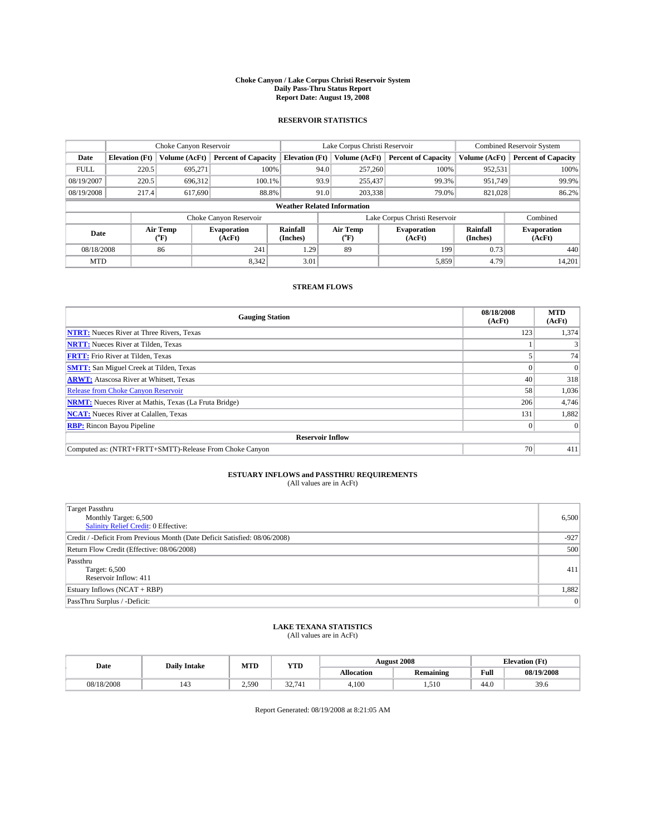#### **Choke Canyon / Lake Corpus Christi Reservoir System Daily Pass-Thru Status Report Report Date: August 19, 2008**

### **RESERVOIR STATISTICS**

|             | Choke Canyon Reservoir<br>Lake Corpus Christi Reservoir |                  |                              |                                    | <b>Combined Reservoir System</b> |                  |                               |                             |                              |
|-------------|---------------------------------------------------------|------------------|------------------------------|------------------------------------|----------------------------------|------------------|-------------------------------|-----------------------------|------------------------------|
| Date        | <b>Elevation</b> (Ft)                                   | Volume (AcFt)    | <b>Percent of Capacity</b>   | <b>Elevation</b> (Ft)              |                                  | Volume (AcFt)    | <b>Percent of Capacity</b>    | Volume (AcFt)               | <b>Percent of Capacity</b>   |
| <b>FULL</b> | 220.5                                                   | 695,271          | 100%                         |                                    | 94.0                             | 257,260          | 100%                          | 952,531                     | 100%                         |
| 08/19/2007  | 220.5                                                   | 696,312          | 100.1%                       |                                    | 93.9                             | 255,437          | 99.3%                         | 951,749                     | 99.9%                        |
| 08/19/2008  | 217.4                                                   | 617,690          | 88.8%                        |                                    | 91.0                             | 203,338          | 79.0%                         | 821,028                     | 86.2%                        |
|             |                                                         |                  |                              | <b>Weather Related Information</b> |                                  |                  |                               |                             |                              |
|             |                                                         |                  | Choke Canyon Reservoir       |                                    |                                  |                  | Lake Corpus Christi Reservoir |                             | Combined                     |
| Date        |                                                         | Air Temp<br>(°F) | <b>Evaporation</b><br>(AcFt) | <b>Rainfall</b><br>(Inches)        |                                  | Air Temp<br>("F) | <b>Evaporation</b><br>(AcFt)  | <b>Rainfall</b><br>(Inches) | <b>Evaporation</b><br>(AcFt) |
| 08/18/2008  |                                                         | 86               | 241                          | 1.29                               |                                  | 89               | 199                           | 0.73                        | 440                          |
| <b>MTD</b>  |                                                         |                  | 8.342                        | 3.01                               |                                  |                  | 5,859                         | 4.79                        | 14,201                       |

### **STREAM FLOWS**

| <b>Gauging Station</b>                                       | 08/18/2008<br>(AcFt) | <b>MTD</b><br>(AcFt) |
|--------------------------------------------------------------|----------------------|----------------------|
| <b>NTRT:</b> Nueces River at Three Rivers, Texas             | 123                  | 1,374                |
| <b>NRTT:</b> Nueces River at Tilden, Texas                   |                      |                      |
| <b>FRTT:</b> Frio River at Tilden, Texas                     |                      | 74                   |
| <b>SMTT:</b> San Miguel Creek at Tilden, Texas               |                      | $\overline{0}$       |
| <b>ARWT:</b> Atascosa River at Whitsett, Texas               | 40                   | 318                  |
| <b>Release from Choke Canyon Reservoir</b>                   | 58                   | 1,036                |
| <b>NRMT:</b> Nueces River at Mathis, Texas (La Fruta Bridge) | 206                  | 4,746                |
| <b>NCAT:</b> Nueces River at Calallen, Texas                 | 131                  | 1,882                |
| <b>RBP:</b> Rincon Bayou Pipeline                            |                      | $\Omega$             |
| <b>Reservoir Inflow</b>                                      |                      |                      |
| Computed as: (NTRT+FRTT+SMTT)-Release From Choke Canyon      | 70                   | 411                  |

# **ESTUARY INFLOWS and PASSTHRU REQUIREMENTS**

| (All values are in AcFt) |  |  |
|--------------------------|--|--|
|--------------------------|--|--|

| <b>Target Passthru</b><br>Monthly Target: 6,500<br>Salinity Relief Credit: 0 Effective: | 6,500  |
|-----------------------------------------------------------------------------------------|--------|
| Credit / -Deficit From Previous Month (Date Deficit Satisfied: 08/06/2008)              | $-927$ |
| Return Flow Credit (Effective: 08/06/2008)                                              | 500    |
| Passthru<br>Target: 6,500<br>Reservoir Inflow: 411                                      | 411    |
| Estuary Inflows (NCAT + RBP)                                                            | 1,882  |
| PassThru Surplus / -Deficit:                                                            | 0      |

# **LAKE TEXANA STATISTICS** (All values are in AcFt)

| Date       | <b>Daily Intake</b> | MTD   | <b>YTD</b> |            | <b>August 2008</b> | <b>Elevation</b> (Ft) |            |
|------------|---------------------|-------|------------|------------|--------------------|-----------------------|------------|
|            |                     |       |            | Allocation | <b>Remaining</b>   | Full                  | 08/19/2008 |
| 08/18/2008 | 143                 | 2.590 | 32.741     | 4,100      | 1.510              | 44.0                  | 39.6       |

Report Generated: 08/19/2008 at 8:21:05 AM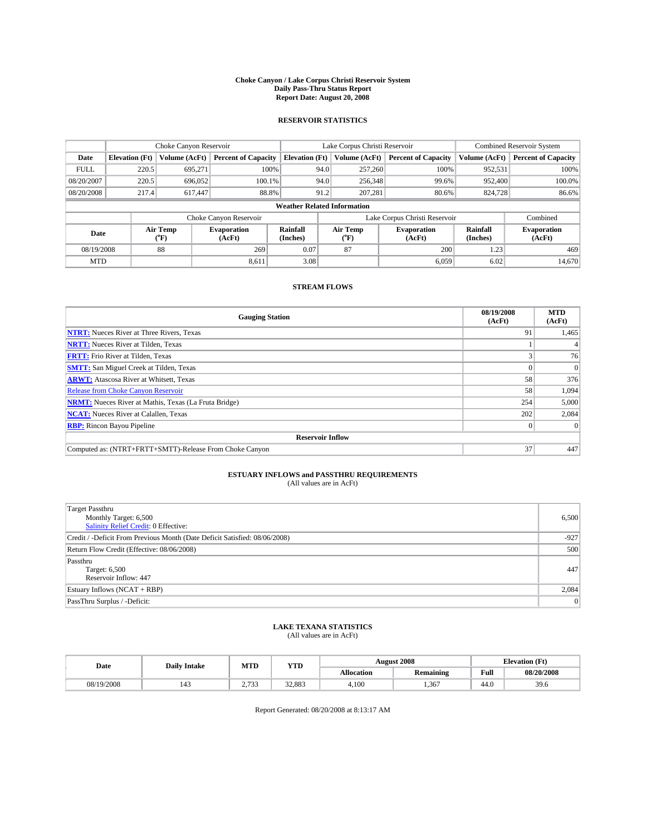#### **Choke Canyon / Lake Corpus Christi Reservoir System Daily Pass-Thru Status Report Report Date: August 20, 2008**

### **RESERVOIR STATISTICS**

|             | Choke Canyon Reservoir             |                  | Lake Corpus Christi Reservoir |                       |                               |                  | <b>Combined Reservoir System</b> |                      |                              |  |
|-------------|------------------------------------|------------------|-------------------------------|-----------------------|-------------------------------|------------------|----------------------------------|----------------------|------------------------------|--|
| Date        | <b>Elevation</b> (Ft)              | Volume (AcFt)    | <b>Percent of Capacity</b>    | <b>Elevation</b> (Ft) |                               | Volume (AcFt)    | <b>Percent of Capacity</b>       | Volume (AcFt)        | <b>Percent of Capacity</b>   |  |
| <b>FULL</b> | 220.5                              | 695,271          | 100%                          |                       | 94.0                          | 257,260          | 100%                             | 952,531              | 100%                         |  |
| 08/20/2007  | 220.5                              | 696,052          | 100.1%                        |                       | 94.0                          | 256,348          | 99.6%                            | 952,400              | 100.0%                       |  |
| 08/20/2008  | 217.4                              | 617,447          | 88.8%                         |                       | 91.2                          | 207,281          | 80.6%                            | 824,728              | 86.6%                        |  |
|             | <b>Weather Related Information</b> |                  |                               |                       |                               |                  |                                  |                      |                              |  |
|             |                                    |                  | Choke Canyon Reservoir        |                       | Lake Corpus Christi Reservoir |                  |                                  |                      | Combined                     |  |
| Date        |                                    | Air Temp<br>(°F) | <b>Evaporation</b><br>(AcFt)  | Rainfall<br>(Inches)  |                               | Air Temp<br>("F) | <b>Evaporation</b><br>(AcFt)     | Rainfall<br>(Inches) | <b>Evaporation</b><br>(AcFt) |  |
| 08/19/2008  |                                    | 88               | 269                           | 0.07                  | 87                            |                  | 200                              | 1.23                 | 469                          |  |
| <b>MTD</b>  |                                    |                  | 8.611                         | 3.08                  |                               |                  | 6.059                            | 6.02                 | 14.670                       |  |

### **STREAM FLOWS**

| <b>Gauging Station</b>                                       | 08/19/2008<br>(AcFt) | <b>MTD</b><br>(AcFt) |
|--------------------------------------------------------------|----------------------|----------------------|
| <b>NTRT:</b> Nueces River at Three Rivers, Texas             | 91                   | 1,465                |
| <b>NRTT:</b> Nueces River at Tilden, Texas                   |                      |                      |
| <b>FRTT:</b> Frio River at Tilden, Texas                     |                      | 76                   |
| <b>SMTT:</b> San Miguel Creek at Tilden, Texas               |                      |                      |
| <b>ARWT:</b> Atascosa River at Whitsett, Texas               | 58                   | 376                  |
| <b>Release from Choke Canyon Reservoir</b>                   | 58                   | 1,094                |
| <b>NRMT:</b> Nueces River at Mathis, Texas (La Fruta Bridge) | 254                  | 5,000                |
| <b>NCAT:</b> Nueces River at Calallen, Texas                 | 202                  | 2,084                |
| <b>RBP:</b> Rincon Bayou Pipeline                            | $\theta$             |                      |
| <b>Reservoir Inflow</b>                                      |                      |                      |
| Computed as: (NTRT+FRTT+SMTT)-Release From Choke Canyon      | 37                   | 447                  |

# **ESTUARY INFLOWS and PASSTHRU REQUIREMENTS**

| (All values are in AcFt) |  |  |
|--------------------------|--|--|
|--------------------------|--|--|

| <b>Target Passthru</b><br>Monthly Target: 6,500<br>Salinity Relief Credit: 0 Effective: | 6,500  |
|-----------------------------------------------------------------------------------------|--------|
| Credit / -Deficit From Previous Month (Date Deficit Satisfied: 08/06/2008)              | $-927$ |
| Return Flow Credit (Effective: 08/06/2008)                                              | 500    |
| Passthru<br>Target: 6,500<br>Reservoir Inflow: 447                                      | 447    |
| Estuary Inflows (NCAT + RBP)                                                            | 2,084  |
| PassThru Surplus / -Deficit:                                                            | 0      |

# **LAKE TEXANA STATISTICS** (All values are in AcFt)

| Date       | <b>Daily Intake</b> | MTI                            | $77$ TD<br>$-11$ |                   | <b>August 2008</b> | $\sqrt{1}$<br><b>Elevation</b> (<br>LE U |            |
|------------|---------------------|--------------------------------|------------------|-------------------|--------------------|------------------------------------------|------------|
|            |                     |                                |                  | <b>Allocation</b> | <b>Remaining</b>   | Full                                     | 08/20/2008 |
| 08/19/2008 |                     | .722<br><u>.</u><br><u>. .</u> | 32.883           | 4.100             | 367<br>1.30'       | 44.0                                     | 39.6       |

Report Generated: 08/20/2008 at 8:13:17 AM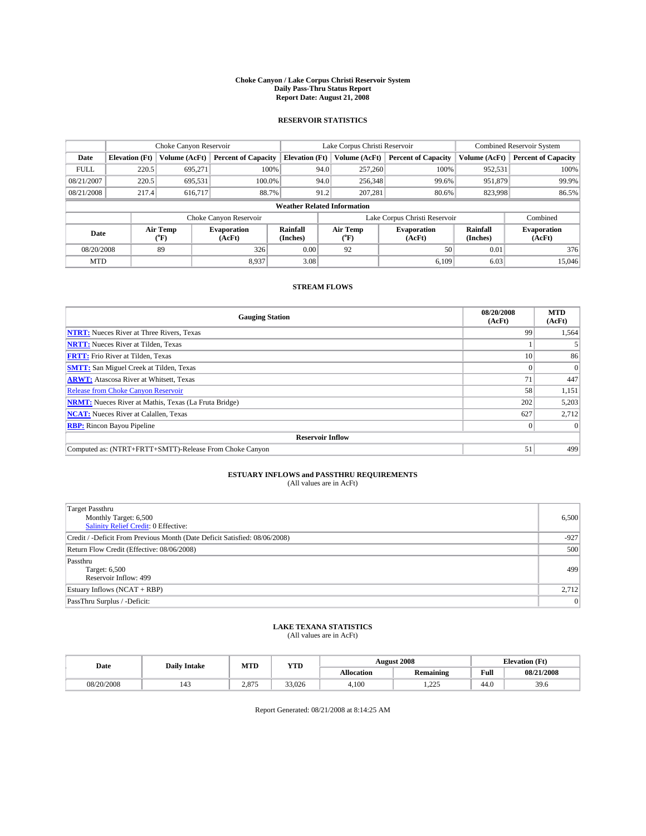#### **Choke Canyon / Lake Corpus Christi Reservoir System Daily Pass-Thru Status Report Report Date: August 21, 2008**

### **RESERVOIR STATISTICS**

|             | Choke Canyon Reservoir |                  | Lake Corpus Christi Reservoir |                                    |                               |                  | <b>Combined Reservoir System</b> |                      |                              |
|-------------|------------------------|------------------|-------------------------------|------------------------------------|-------------------------------|------------------|----------------------------------|----------------------|------------------------------|
| Date        | <b>Elevation</b> (Ft)  | Volume (AcFt)    | <b>Percent of Capacity</b>    | <b>Elevation</b> (Ft)              |                               | Volume (AcFt)    | <b>Percent of Capacity</b>       | Volume (AcFt)        | <b>Percent of Capacity</b>   |
| <b>FULL</b> | 220.5                  | 695,271          | 100%                          |                                    | 94.0                          | 257,260          | 100%                             | 952,531              | 100%                         |
| 08/21/2007  | 220.5                  | 695,531          | 100.0%                        |                                    | 94.0                          | 256,348          | 99.6%                            | 951,879              | 99.9%                        |
| 08/21/2008  | 217.4                  | 616,717          | 88.7%                         |                                    | 91.2                          | 207,281          | 80.6%                            | 823,998              | 86.5%                        |
|             |                        |                  |                               | <b>Weather Related Information</b> |                               |                  |                                  |                      |                              |
|             |                        |                  | Choke Canyon Reservoir        |                                    | Lake Corpus Christi Reservoir |                  |                                  |                      | Combined                     |
| Date        |                        | Air Temp<br>(°F) | <b>Evaporation</b><br>(AcFt)  | Rainfall<br>(Inches)               |                               | Air Temp<br>("F) | <b>Evaporation</b><br>(AcFt)     | Rainfall<br>(Inches) | <b>Evaporation</b><br>(AcFt) |
| 08/20/2008  |                        | 89               | 326                           | 0.00                               |                               | 92               | 50                               | 0.01                 | 376                          |
| <b>MTD</b>  |                        |                  | 8.937                         | 3.08                               |                               |                  | 6.109                            | 6.03                 | 15,046                       |

### **STREAM FLOWS**

| <b>Gauging Station</b>                                       | 08/20/2008<br>(AcFt) | <b>MTD</b><br>(AcFt) |
|--------------------------------------------------------------|----------------------|----------------------|
| <b>NTRT:</b> Nueces River at Three Rivers, Texas             | 99                   | 1,564                |
| <b>NRTT:</b> Nueces River at Tilden, Texas                   |                      |                      |
| <b>FRTT:</b> Frio River at Tilden, Texas                     | 10                   | 86                   |
| <b>SMTT:</b> San Miguel Creek at Tilden, Texas               |                      | $\Omega$             |
| <b>ARWT:</b> Atascosa River at Whitsett, Texas               | 71                   | 447                  |
| <b>Release from Choke Canyon Reservoir</b>                   | 58                   | 1,151                |
| <b>NRMT:</b> Nueces River at Mathis, Texas (La Fruta Bridge) | 202                  | 5,203                |
| <b>NCAT:</b> Nueces River at Calallen, Texas                 | 627                  | 2,712                |
| <b>RBP:</b> Rincon Bayou Pipeline                            |                      | $\Omega$             |
| <b>Reservoir Inflow</b>                                      |                      |                      |
| Computed as: (NTRT+FRTT+SMTT)-Release From Choke Canyon      | 51                   | 499                  |

# **ESTUARY INFLOWS and PASSTHRU REQUIREMENTS**<br>(All values are in AcFt)

| <b>Target Passthru</b><br>Monthly Target: 6,500<br>Salinity Relief Credit: 0 Effective: | 6,500  |
|-----------------------------------------------------------------------------------------|--------|
| Credit / -Deficit From Previous Month (Date Deficit Satisfied: 08/06/2008)              | $-927$ |
| Return Flow Credit (Effective: 08/06/2008)                                              | 500    |
| Passthru<br>Target: 6,500<br>Reservoir Inflow: 499                                      | 499    |
| Estuary Inflows $(NCAT + RBP)$                                                          | 2,712  |
| PassThru Surplus / -Deficit:                                                            | 0      |

# **LAKE TEXANA STATISTICS** (All values are in AcFt)

| MTD<br>YTD<br><b>Daily Intake</b><br>Date |        |       |        | <b>August 2008</b> | <b>Elevation</b> (Ft) |                                         |            |
|-------------------------------------------|--------|-------|--------|--------------------|-----------------------|-----------------------------------------|------------|
|                                           |        |       |        | <b>Allocation</b>  | <b>Remaining</b>      | Full<br>the contract of the contract of | 08/21/2008 |
| 08/20/2008                                | $\sim$ | 2.875 | 33,026 | 4.100              | 225<br>.              | 44.0                                    | 39.6       |

Report Generated: 08/21/2008 at 8:14:25 AM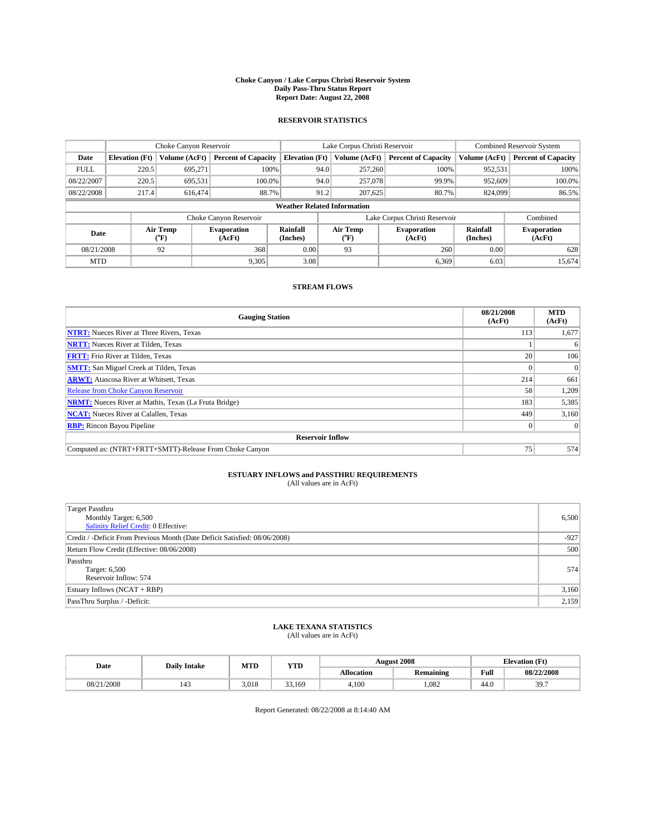#### **Choke Canyon / Lake Corpus Christi Reservoir System Daily Pass-Thru Status Report Report Date: August 22, 2008**

### **RESERVOIR STATISTICS**

|             | Choke Canyon Reservoir |                             | Lake Corpus Christi Reservoir |                                    |                               |                  | <b>Combined Reservoir System</b> |                      |                              |
|-------------|------------------------|-----------------------------|-------------------------------|------------------------------------|-------------------------------|------------------|----------------------------------|----------------------|------------------------------|
| Date        | <b>Elevation</b> (Ft)  | Volume (AcFt)               | <b>Percent of Capacity</b>    | <b>Elevation</b> (Ft)              |                               | Volume (AcFt)    | <b>Percent of Capacity</b>       | Volume (AcFt)        | <b>Percent of Capacity</b>   |
| <b>FULL</b> | 220.5                  | 695,271                     | 100%                          |                                    | 94.0                          | 257,260          | 100%                             | 952,531              | 100%                         |
| 08/22/2007  | 220.5                  | 695,531                     | 100.0%                        |                                    | 94.0                          | 257,078          | 99.9%                            | 952,609              | 100.0%                       |
| 08/22/2008  | 217.4                  | 616,474                     | 88.7%                         |                                    | 91.2                          | 207,625          | 80.7%                            | 824,099              | 86.5%                        |
|             |                        |                             |                               | <b>Weather Related Information</b> |                               |                  |                                  |                      |                              |
|             |                        |                             | Choke Canyon Reservoir        |                                    | Lake Corpus Christi Reservoir |                  |                                  |                      | Combined                     |
| Date        |                        | Air Temp<br>${}^{\circ}$ F) | <b>Evaporation</b><br>(AcFt)  | Rainfall<br>(Inches)               |                               | Air Temp<br>("F) | <b>Evaporation</b><br>(AcFt)     | Rainfall<br>(Inches) | <b>Evaporation</b><br>(AcFt) |
| 08/21/2008  |                        | 92                          | 368                           | 0.00                               |                               | 93               | 260                              | 0.00                 | 628                          |
| <b>MTD</b>  |                        |                             | 9,305                         | 3.08                               |                               |                  | 6,369                            | 6.03                 | 15,674                       |

### **STREAM FLOWS**

| <b>Gauging Station</b>                                       | 08/21/2008<br>(AcFt) | <b>MTD</b><br>(AcFt) |
|--------------------------------------------------------------|----------------------|----------------------|
| <b>NTRT:</b> Nueces River at Three Rivers, Texas             | 113                  | 1,677                |
| <b>NRTT:</b> Nueces River at Tilden, Texas                   |                      | 6                    |
| <b>FRTT:</b> Frio River at Tilden, Texas                     | 20 <sub>1</sub>      | 106                  |
| <b>SMTT:</b> San Miguel Creek at Tilden, Texas               |                      |                      |
| <b>ARWT:</b> Atascosa River at Whitsett, Texas               | 214                  | 661                  |
| <b>Release from Choke Canyon Reservoir</b>                   | 58                   | 1,209                |
| <b>NRMT:</b> Nueces River at Mathis, Texas (La Fruta Bridge) | 183                  | 5,385                |
| <b>NCAT:</b> Nueces River at Calallen, Texas                 | 449                  | 3,160                |
| <b>RBP:</b> Rincon Bayou Pipeline                            | $\Omega$             |                      |
| <b>Reservoir Inflow</b>                                      |                      |                      |
| Computed as: (NTRT+FRTT+SMTT)-Release From Choke Canyon      | 75                   | 574                  |

# **ESTUARY INFLOWS and PASSTHRU REQUIREMENTS**

| (All values are in AcFt) |  |  |
|--------------------------|--|--|
|--------------------------|--|--|

| <b>Target Passthru</b><br>Monthly Target: 6,500<br>Salinity Relief Credit: 0 Effective: | 6,500  |
|-----------------------------------------------------------------------------------------|--------|
| Credit / -Deficit From Previous Month (Date Deficit Satisfied: 08/06/2008)              | $-927$ |
| Return Flow Credit (Effective: 08/06/2008)                                              | 500    |
| Passthru<br>Target: 6,500<br>Reservoir Inflow: 574                                      | 574    |
| Estuary Inflows (NCAT + RBP)                                                            | 3,160  |
| PassThru Surplus / -Deficit:                                                            | 2,159  |

# **LAKE TEXANA STATISTICS** (All values are in AcFt)

| Date       | <b>Daily Intake</b> | MTD   | <b>WTPD</b><br>1 I.D |                   | <b>August 2008</b> |      | $T+$<br><b>Elevation</b> (<br>LE L |
|------------|---------------------|-------|----------------------|-------------------|--------------------|------|------------------------------------|
|            |                     |       |                      | <b>Allocation</b> | Remaining          | Full | 08/22/2008                         |
| 08/21/2008 | $1 - 1$             | 3.018 | 53.169               | 4.100             | ,082               | 44.0 | 397<br>J.I.                        |

Report Generated: 08/22/2008 at 8:14:40 AM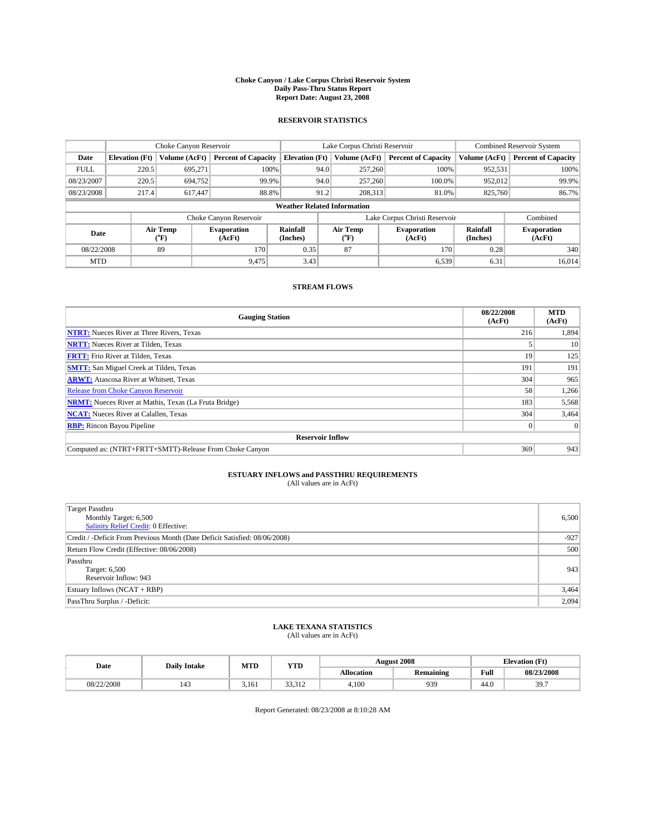#### **Choke Canyon / Lake Corpus Christi Reservoir System Daily Pass-Thru Status Report Report Date: August 23, 2008**

### **RESERVOIR STATISTICS**

|             |                                    | Choke Canyon Reservoir |                              |                             | Lake Corpus Christi Reservoir |                  |                               |                      | <b>Combined Reservoir System</b> |  |  |
|-------------|------------------------------------|------------------------|------------------------------|-----------------------------|-------------------------------|------------------|-------------------------------|----------------------|----------------------------------|--|--|
| Date        | <b>Elevation</b> (Ft)              | Volume (AcFt)          | <b>Percent of Capacity</b>   | <b>Elevation</b> (Ft)       |                               | Volume (AcFt)    | <b>Percent of Capacity</b>    | Volume (AcFt)        | <b>Percent of Capacity</b>       |  |  |
| <b>FULL</b> | 220.5                              | 695.271                |                              | 100%                        | 94.0                          | 257,260          | 100%                          | 952,531              | 100%                             |  |  |
| 08/23/2007  | 220.5                              | 694,752                |                              | 99.9%                       | 94.0                          | 257,260          | 100.0%                        | 952,012              | 99.9%                            |  |  |
| 08/23/2008  | 217.4                              | 617,447                |                              | 88.8%                       | 91.2                          | 208,313          | 81.0%                         | 825,760              | 86.7%                            |  |  |
|             | <b>Weather Related Information</b> |                        |                              |                             |                               |                  |                               |                      |                                  |  |  |
|             |                                    |                        | Choke Canyon Reservoir       |                             |                               |                  | Lake Corpus Christi Reservoir |                      | Combined                         |  |  |
| Date        |                                    | Air Temp<br>(°F)       | <b>Evaporation</b><br>(AcFt) | <b>Rainfall</b><br>(Inches) |                               | Air Temp<br>("F) | <b>Evaporation</b><br>(AcFt)  | Rainfall<br>(Inches) | <b>Evaporation</b><br>(AcFt)     |  |  |
| 08/22/2008  |                                    | 89                     | 170                          | 0.35                        |                               | 87               | 170                           | 0.28                 | 340                              |  |  |
| <b>MTD</b>  |                                    |                        | 9.475                        | 3.43                        |                               |                  | 6,539                         | 6.31                 | 16,014                           |  |  |

### **STREAM FLOWS**

| <b>Gauging Station</b>                                       | 08/22/2008<br>(AcFt) | <b>MTD</b><br>(AcFt) |  |  |  |  |  |
|--------------------------------------------------------------|----------------------|----------------------|--|--|--|--|--|
| <b>NTRT:</b> Nueces River at Three Rivers, Texas             | 216                  | 1,894                |  |  |  |  |  |
| <b>NRTT:</b> Nueces River at Tilden, Texas                   |                      | 10                   |  |  |  |  |  |
| <b>FRTT:</b> Frio River at Tilden, Texas                     | 19                   | 125                  |  |  |  |  |  |
| <b>SMTT:</b> San Miguel Creek at Tilden, Texas               | 191                  | 191                  |  |  |  |  |  |
| <b>ARWT:</b> Atascosa River at Whitsett, Texas               | 304                  | 965                  |  |  |  |  |  |
| <b>Release from Choke Canyon Reservoir</b>                   | 58                   | 1,266                |  |  |  |  |  |
| <b>NRMT:</b> Nueces River at Mathis, Texas (La Fruta Bridge) | 183                  | 5,568                |  |  |  |  |  |
| <b>NCAT:</b> Nueces River at Calallen, Texas                 | 304                  | 3,464                |  |  |  |  |  |
| <b>RBP:</b> Rincon Bayou Pipeline                            | $\theta$             |                      |  |  |  |  |  |
| <b>Reservoir Inflow</b>                                      |                      |                      |  |  |  |  |  |
| Computed as: (NTRT+FRTT+SMTT)-Release From Choke Canyon      | 369                  | 943                  |  |  |  |  |  |

# **ESTUARY INFLOWS and PASSTHRU REQUIREMENTS**

| (All values are in AcFt) |  |  |
|--------------------------|--|--|
|--------------------------|--|--|

| <b>Target Passthru</b><br>Monthly Target: 6,500<br>Salinity Relief Credit: 0 Effective: | 6,500  |
|-----------------------------------------------------------------------------------------|--------|
| Credit / -Deficit From Previous Month (Date Deficit Satisfied: 08/06/2008)              | $-927$ |
| Return Flow Credit (Effective: 08/06/2008)                                              | 500    |
| Passthru<br>Target: 6,500<br>Reservoir Inflow: 943                                      | 943    |
| Estuary Inflows (NCAT + RBP)                                                            | 3,464  |
| PassThru Surplus / -Deficit:                                                            | 2,094  |

# **LAKE TEXANA STATISTICS** (All values are in AcFt)

| Date       | <b>Daily Intake</b> | MTD   | <b>WTPD</b><br>1 I D               |                   | <b>August 2008</b> |      | CT4<br><b>Elevation</b> (<br>LE L |
|------------|---------------------|-------|------------------------------------|-------------------|--------------------|------|-----------------------------------|
|            |                     |       |                                    | <b>Allocation</b> | Remaining          | Full | 08/23/2008                        |
| 08/22/2008 | <br>$1 - 1$         | 3.161 | $\sim$<br>$\sim$ $\sim$<br>JJ.J 14 | 4.100             | 939                | 44.0 | 307<br>J.I.                       |

Report Generated: 08/23/2008 at 8:10:28 AM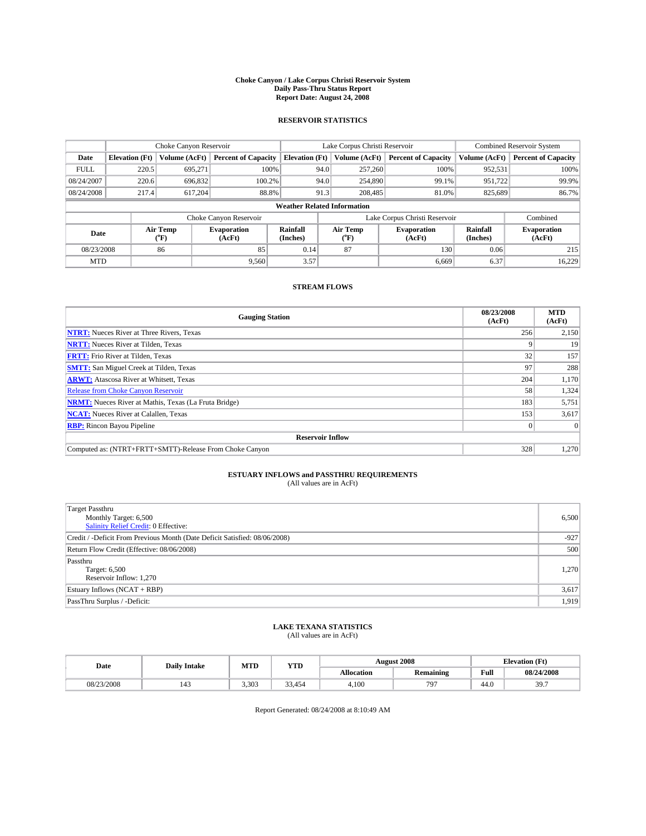#### **Choke Canyon / Lake Corpus Christi Reservoir System Daily Pass-Thru Status Report Report Date: August 24, 2008**

### **RESERVOIR STATISTICS**

|                                    | Choke Canyon Reservoir |                  |                              |                       | Lake Corpus Christi Reservoir |                  |                               |                      | <b>Combined Reservoir System</b> |  |
|------------------------------------|------------------------|------------------|------------------------------|-----------------------|-------------------------------|------------------|-------------------------------|----------------------|----------------------------------|--|
| Date                               | <b>Elevation</b> (Ft)  | Volume (AcFt)    | <b>Percent of Capacity</b>   | <b>Elevation</b> (Ft) |                               | Volume (AcFt)    | <b>Percent of Capacity</b>    | Volume (AcFt)        | <b>Percent of Capacity</b>       |  |
| <b>FULL</b>                        | 220.5                  | 695,271          | 100%                         |                       | 94.0                          | 257,260          | 100%                          | 952,531              | 100%                             |  |
| 08/24/2007                         | 220.6                  | 696,832          | 100.2%                       |                       | 94.0                          | 254,890          | 99.1%                         | 951.722              | 99.9%                            |  |
| 08/24/2008                         | 217.4                  | 617.204          | 88.8%                        |                       | 91.3                          | 208,485          | 81.0%                         | 825,689              | 86.7%                            |  |
| <b>Weather Related Information</b> |                        |                  |                              |                       |                               |                  |                               |                      |                                  |  |
|                                    |                        |                  | Choke Canyon Reservoir       |                       |                               |                  | Lake Corpus Christi Reservoir |                      | Combined                         |  |
| Date                               |                        | Air Temp<br>(°F) | <b>Evaporation</b><br>(AcFt) | Rainfall<br>(Inches)  |                               | Air Temp<br>("F) | <b>Evaporation</b><br>(AcFt)  | Rainfall<br>(Inches) | <b>Evaporation</b><br>(AcFt)     |  |
| 08/23/2008                         |                        | 86               | 85                           | 0.14                  |                               | 87               | 130                           | 0.06                 | 215                              |  |
| <b>MTD</b>                         |                        |                  | 9.560                        | 3.57                  |                               |                  | 6,669                         | 6.37                 | 16,229                           |  |

### **STREAM FLOWS**

| <b>Gauging Station</b>                                       | 08/23/2008<br>(AcFt) | <b>MTD</b><br>(AcFt) |  |  |  |  |
|--------------------------------------------------------------|----------------------|----------------------|--|--|--|--|
| <b>NTRT:</b> Nueces River at Three Rivers, Texas             | 256                  | 2,150                |  |  |  |  |
| <b>NRTT:</b> Nueces River at Tilden, Texas                   |                      | 19                   |  |  |  |  |
| <b>FRTT:</b> Frio River at Tilden, Texas                     | 32                   | 157                  |  |  |  |  |
| <b>SMTT:</b> San Miguel Creek at Tilden, Texas               | 97                   | 288                  |  |  |  |  |
| <b>ARWT:</b> Atascosa River at Whitsett, Texas               | 204                  | 1,170                |  |  |  |  |
| <b>Release from Choke Canyon Reservoir</b>                   | 58                   | 1,324                |  |  |  |  |
| <b>NRMT:</b> Nueces River at Mathis, Texas (La Fruta Bridge) | 183                  | 5,751                |  |  |  |  |
| <b>NCAT:</b> Nueces River at Calallen, Texas                 | 153                  | 3,617                |  |  |  |  |
| <b>RBP:</b> Rincon Bayou Pipeline                            | $\vert 0 \vert$      |                      |  |  |  |  |
| <b>Reservoir Inflow</b>                                      |                      |                      |  |  |  |  |
| Computed as: (NTRT+FRTT+SMTT)-Release From Choke Canyon      | 328                  | 1,270                |  |  |  |  |

# **ESTUARY INFLOWS and PASSTHRU REQUIREMENTS**<br>(All values are in AcFt)

| <b>Target Passthru</b><br>Monthly Target: 6,500<br>Salinity Relief Credit: 0 Effective: | 6,500  |
|-----------------------------------------------------------------------------------------|--------|
| Credit / -Deficit From Previous Month (Date Deficit Satisfied: 08/06/2008)              | $-927$ |
| Return Flow Credit (Effective: 08/06/2008)                                              | 500    |
| Passthru<br>Target: 6,500<br>Reservoir Inflow: 1,270                                    | 1,270  |
| Estuary Inflows $(NCAT + RBP)$                                                          | 3,617  |
| PassThru Surplus / -Deficit:                                                            | 1,919  |

# **LAKE TEXANA STATISTICS** (All values are in AcFt)

| Date       | <b>Daily Intake</b> |       | MTD<br><b>WTPD</b><br>1 I D |                   | <b>August 2008</b> |      | CT4<br><b>Elevation</b> (<br>LE L |
|------------|---------------------|-------|-----------------------------|-------------------|--------------------|------|-----------------------------------|
|            |                     |       |                             | <b>Allocation</b> | Remaining          | Full | 08/24/2008                        |
| 08/23/2008 | $1 - 1$             | 3.303 | 33,454                      | 4.100             | $79^{-}$           | 44.0 | 307<br>J.I.                       |

Report Generated: 08/24/2008 at 8:10:49 AM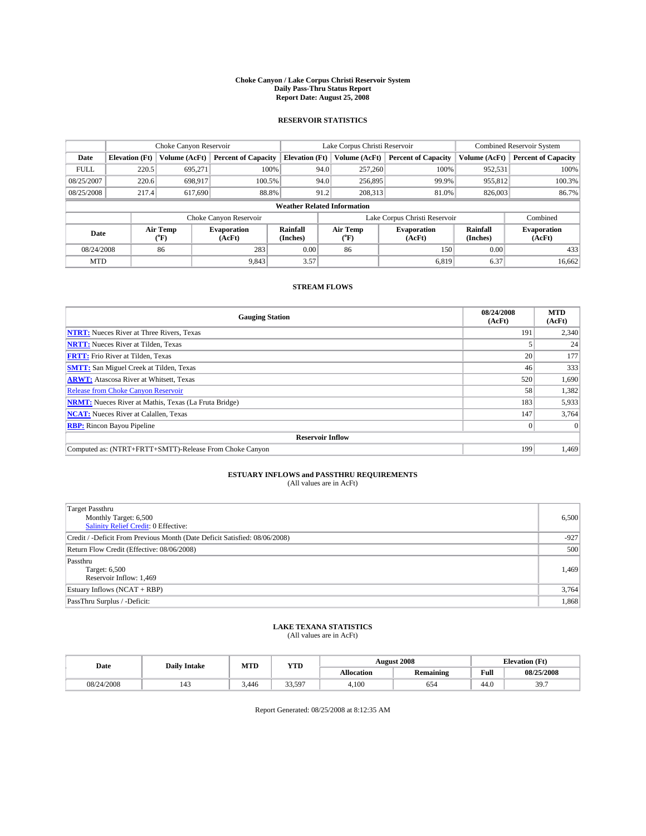#### **Choke Canyon / Lake Corpus Christi Reservoir System Daily Pass-Thru Status Report Report Date: August 25, 2008**

### **RESERVOIR STATISTICS**

|             | Choke Canyon Reservoir             |                  | Lake Corpus Christi Reservoir |                       |      |                  | <b>Combined Reservoir System</b> |                      |                              |  |  |
|-------------|------------------------------------|------------------|-------------------------------|-----------------------|------|------------------|----------------------------------|----------------------|------------------------------|--|--|
| Date        | <b>Elevation</b> (Ft)              | Volume (AcFt)    | <b>Percent of Capacity</b>    | <b>Elevation</b> (Ft) |      | Volume (AcFt)    | <b>Percent of Capacity</b>       | Volume (AcFt)        | <b>Percent of Capacity</b>   |  |  |
| <b>FULL</b> | 220.5                              | 695,271          | 100%                          |                       | 94.0 | 257,260          | 100%                             | 952,531              | 100%                         |  |  |
| 08/25/2007  | 220.6                              | 698,917          | 100.5%                        |                       | 94.0 | 256,895          | 99.9%                            | 955,812              | 100.3%                       |  |  |
| 08/25/2008  | 217.4                              | 617,690          | 88.8%                         |                       | 91.2 | 208,313          | 81.0%                            | 826,003              | 86.7%                        |  |  |
|             | <b>Weather Related Information</b> |                  |                               |                       |      |                  |                                  |                      |                              |  |  |
|             |                                    |                  | Choke Canyon Reservoir        |                       |      |                  | Lake Corpus Christi Reservoir    |                      | Combined                     |  |  |
| Date        |                                    | Air Temp<br>(°F) | <b>Evaporation</b><br>(AcFt)  | Rainfall<br>(Inches)  |      | Air Temp<br>("F) | <b>Evaporation</b><br>(AcFt)     | Rainfall<br>(Inches) | <b>Evaporation</b><br>(AcFt) |  |  |
| 08/24/2008  |                                    | 86               | 283                           | 0.00                  |      | 86               | 150                              | 0.00                 | 433                          |  |  |
| <b>MTD</b>  |                                    |                  | 9.843                         | 3.57                  |      |                  | 6.819                            | 6.37                 | 16,662                       |  |  |

### **STREAM FLOWS**

| <b>Gauging Station</b>                                       | 08/24/2008<br>(AcFt) | <b>MTD</b><br>(AcFt) |  |  |  |  |  |  |
|--------------------------------------------------------------|----------------------|----------------------|--|--|--|--|--|--|
| <b>NTRT:</b> Nueces River at Three Rivers, Texas             | 191                  | 2,340                |  |  |  |  |  |  |
| <b>NRTT:</b> Nueces River at Tilden, Texas                   |                      | 24                   |  |  |  |  |  |  |
| <b>FRTT:</b> Frio River at Tilden, Texas                     | 20 <sub>1</sub>      | 177                  |  |  |  |  |  |  |
| <b>SMTT:</b> San Miguel Creek at Tilden, Texas               | 46                   | 333                  |  |  |  |  |  |  |
| <b>ARWT:</b> Atascosa River at Whitsett, Texas               | 520                  | 1,690                |  |  |  |  |  |  |
| <b>Release from Choke Canyon Reservoir</b>                   | 58                   | 1,382                |  |  |  |  |  |  |
| <b>NRMT:</b> Nueces River at Mathis, Texas (La Fruta Bridge) | 183                  | 5,933                |  |  |  |  |  |  |
| <b>NCAT:</b> Nueces River at Calallen, Texas                 | 147                  | 3,764                |  |  |  |  |  |  |
| <b>RBP:</b> Rincon Bayou Pipeline                            | $\vert 0 \vert$      |                      |  |  |  |  |  |  |
| <b>Reservoir Inflow</b>                                      |                      |                      |  |  |  |  |  |  |
| Computed as: (NTRT+FRTT+SMTT)-Release From Choke Canyon      | 199                  | 1,469                |  |  |  |  |  |  |

# **ESTUARY INFLOWS and PASSTHRU REQUIREMENTS**<br>(All values are in AcFt)

| <b>Target Passthru</b><br>Monthly Target: 6,500<br>Salinity Relief Credit: 0 Effective: | 6,500  |
|-----------------------------------------------------------------------------------------|--------|
| Credit / -Deficit From Previous Month (Date Deficit Satisfied: 08/06/2008)              | $-927$ |
| Return Flow Credit (Effective: 08/06/2008)                                              | 500    |
| Passthru<br>Target: 6,500<br>Reservoir Inflow: 1,469                                    | 1,469  |
| Estuary Inflows (NCAT + RBP)                                                            | 3,764  |
| PassThru Surplus / -Deficit:                                                            | 1,868  |

# **LAKE TEXANA STATISTICS** (All values are in AcFt)

| Date       | <b>Daily Intake</b> | MTD  | YTD    |                   | <b>August 2008</b> | <b>Elevation</b> (Ft)                   |            |
|------------|---------------------|------|--------|-------------------|--------------------|-----------------------------------------|------------|
|            |                     |      |        | <b>Allocation</b> | <b>Remaining</b>   | Full<br>the contract of the contract of | 08/25/2008 |
| 08/24/2008 | $\overline{1}$      | .446 | 33.597 | 4.100             | 654                | 44.0                                    | 307<br>J., |

Report Generated: 08/25/2008 at 8:12:35 AM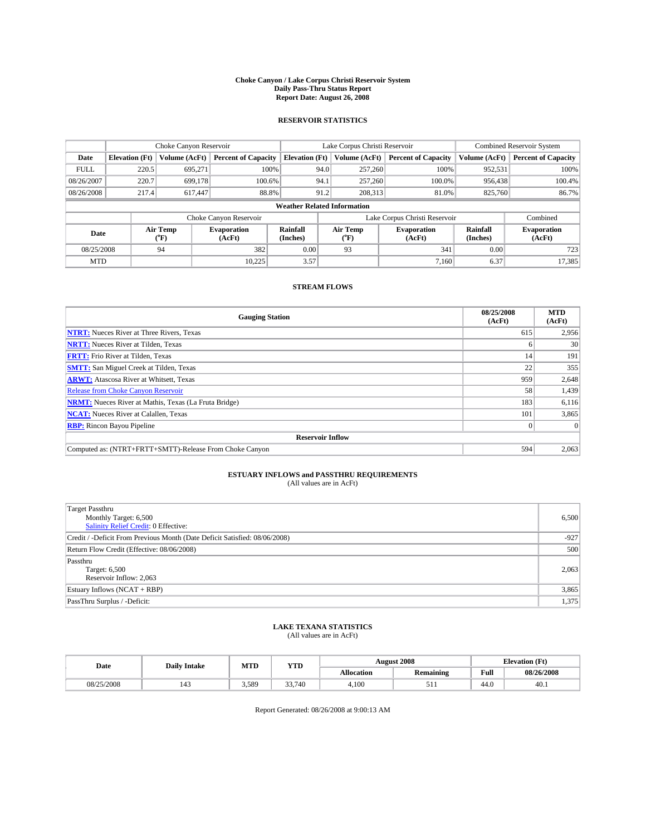#### **Choke Canyon / Lake Corpus Christi Reservoir System Daily Pass-Thru Status Report Report Date: August 26, 2008**

### **RESERVOIR STATISTICS**

|             |                                    | Choke Canyon Reservoir      |                              |                       |      | Lake Corpus Christi Reservoir | <b>Combined Reservoir System</b> |                      |                              |  |  |
|-------------|------------------------------------|-----------------------------|------------------------------|-----------------------|------|-------------------------------|----------------------------------|----------------------|------------------------------|--|--|
| Date        | <b>Elevation</b> (Ft)              | Volume (AcFt)               | <b>Percent of Capacity</b>   | <b>Elevation</b> (Ft) |      | Volume (AcFt)                 | <b>Percent of Capacity</b>       | Volume (AcFt)        | <b>Percent of Capacity</b>   |  |  |
| <b>FULL</b> | 220.5                              | 695,271                     | 100%                         |                       | 94.0 | 257,260                       | 100%                             | 952,531              | 100%                         |  |  |
| 08/26/2007  | 220.7                              | 699.178                     | 100.6%                       |                       | 94.1 | 257,260                       | 100.0%                           | 956,438              | 100.4%                       |  |  |
| 08/26/2008  | 217.4                              | 617,447                     | 88.8%                        |                       | 91.2 | 208.313                       | 81.0%                            | 825,760              | 86.7%                        |  |  |
|             | <b>Weather Related Information</b> |                             |                              |                       |      |                               |                                  |                      |                              |  |  |
|             |                                    |                             | Choke Canyon Reservoir       |                       |      |                               | Lake Corpus Christi Reservoir    |                      | Combined                     |  |  |
| Date        |                                    | Air Temp<br>${}^{\circ}$ F) | <b>Evaporation</b><br>(AcFt) | Rainfall<br>(Inches)  |      | Air Temp<br>("F)              | <b>Evaporation</b><br>(AcFt)     | Rainfall<br>(Inches) | <b>Evaporation</b><br>(AcFt) |  |  |
| 08/25/2008  |                                    | 94                          | 382                          | 0.00                  |      | 93                            | 341                              | 0.00                 | 723                          |  |  |
| <b>MTD</b>  |                                    |                             | 10.225                       | 3.57                  |      |                               | 7.160                            | 6.37                 | 17,385                       |  |  |

### **STREAM FLOWS**

| <b>Gauging Station</b>                                       | 08/25/2008<br>(AcFt) | <b>MTD</b><br>(AcFt) |  |  |  |  |  |
|--------------------------------------------------------------|----------------------|----------------------|--|--|--|--|--|
| <b>NTRT:</b> Nueces River at Three Rivers, Texas             | 615                  | 2,956                |  |  |  |  |  |
| <b>NRTT:</b> Nueces River at Tilden, Texas                   | <sub>0</sub>         | 30                   |  |  |  |  |  |
| <b>FRTT:</b> Frio River at Tilden, Texas                     | 14                   | 191                  |  |  |  |  |  |
| <b>SMTT:</b> San Miguel Creek at Tilden, Texas               | 22                   | 355                  |  |  |  |  |  |
| <b>ARWT:</b> Atascosa River at Whitsett, Texas               | 959                  | 2,648                |  |  |  |  |  |
| <b>Release from Choke Canyon Reservoir</b>                   | 58                   | 1,439                |  |  |  |  |  |
| <b>NRMT:</b> Nueces River at Mathis, Texas (La Fruta Bridge) | 183                  | 6,116                |  |  |  |  |  |
| <b>NCAT:</b> Nueces River at Calallen, Texas                 | 101                  | 3,865                |  |  |  |  |  |
| <b>RBP:</b> Rincon Bayou Pipeline                            | $\overline{0}$       |                      |  |  |  |  |  |
| <b>Reservoir Inflow</b>                                      |                      |                      |  |  |  |  |  |
| Computed as: (NTRT+FRTT+SMTT)-Release From Choke Canyon      | 594                  | 2,063                |  |  |  |  |  |

# **ESTUARY INFLOWS and PASSTHRU REQUIREMENTS**

| (All values are in AcFt) |  |  |
|--------------------------|--|--|
|--------------------------|--|--|

| <b>Target Passthru</b><br>Monthly Target: 6,500<br>Salinity Relief Credit: 0 Effective: | 6,500  |
|-----------------------------------------------------------------------------------------|--------|
| Credit / -Deficit From Previous Month (Date Deficit Satisfied: 08/06/2008)              | $-927$ |
| Return Flow Credit (Effective: 08/06/2008)                                              | 500    |
| Passthru<br>Target: 6,500<br>Reservoir Inflow: 2,063                                    | 2,063  |
| Estuary Inflows (NCAT + RBP)                                                            | 3,865  |
| PassThru Surplus / -Deficit:                                                            | 1,375  |

# **LAKE TEXANA STATISTICS** (All values are in AcFt)

| Date       | <b>Daily Intake</b> | MTD   | <b>WTPD</b><br>1 I D |                   | <b>August 2008</b> | CT4<br><b>Elevation</b> (<br>LE L |            |
|------------|---------------------|-------|----------------------|-------------------|--------------------|-----------------------------------|------------|
|            |                     |       |                      | <b>Allocation</b> | Remaining          | Full                              | 08/26/2008 |
| 08/25/2008 | $1 - 1$             | 5,589 | $\sim$<br>.740       | 4.10C             | .                  | 44.0                              | 40.1       |

Report Generated: 08/26/2008 at 9:00:13 AM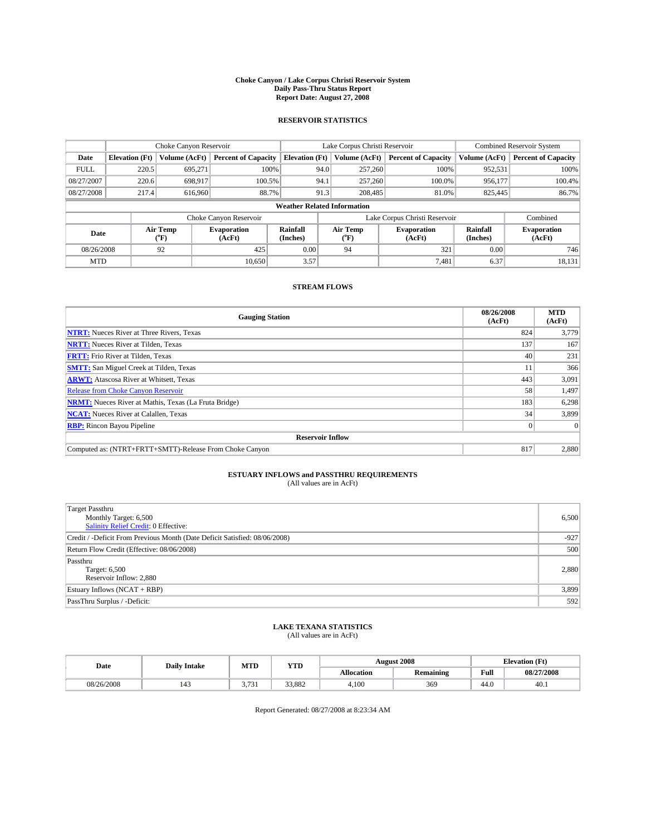#### **Choke Canyon / Lake Corpus Christi Reservoir System Daily Pass-Thru Status Report Report Date: August 27, 2008**

### **RESERVOIR STATISTICS**

|             |                                    | Choke Canyon Reservoir |                              |                       |      | Lake Corpus Christi Reservoir | <b>Combined Reservoir System</b> |                      |                              |  |  |
|-------------|------------------------------------|------------------------|------------------------------|-----------------------|------|-------------------------------|----------------------------------|----------------------|------------------------------|--|--|
| Date        | <b>Elevation</b> (Ft)              | Volume (AcFt)          | <b>Percent of Capacity</b>   | <b>Elevation</b> (Ft) |      | Volume (AcFt)                 | <b>Percent of Capacity</b>       | Volume (AcFt)        | <b>Percent of Capacity</b>   |  |  |
| <b>FULL</b> | 220.5                              | 695,271                | 100%                         |                       | 94.0 | 257,260                       | 100%                             | 952,531              | 100%                         |  |  |
| 08/27/2007  | 220.6                              | 698,917                | 100.5%                       |                       | 94.1 | 257,260                       | 100.0%                           | 956,177              | 100.4%                       |  |  |
| 08/27/2008  | 217.4                              | 616,960                | 88.7%                        |                       | 91.3 | 208,485                       | 81.0%                            | 825,445              | 86.7%                        |  |  |
|             | <b>Weather Related Information</b> |                        |                              |                       |      |                               |                                  |                      |                              |  |  |
|             |                                    |                        | Choke Canyon Reservoir       |                       |      |                               | Lake Corpus Christi Reservoir    |                      | Combined                     |  |  |
| Date        |                                    | Air Temp<br>(°F)       | <b>Evaporation</b><br>(AcFt) | Rainfall<br>(Inches)  |      | Air Temp<br>("F)              | <b>Evaporation</b><br>(AcFt)     | Rainfall<br>(Inches) | <b>Evaporation</b><br>(AcFt) |  |  |
| 08/26/2008  |                                    | 92                     | 425                          | 0.00                  |      | 94                            | 321                              | 0.00                 | 746                          |  |  |
| <b>MTD</b>  |                                    |                        | 10.650                       | 3.57                  |      |                               | 7.481                            | 6.37                 | 18,131                       |  |  |

### **STREAM FLOWS**

| <b>Gauging Station</b>                                       | 08/26/2008<br>(AcFt) | <b>MTD</b><br>(AcFt) |  |  |  |  |  |
|--------------------------------------------------------------|----------------------|----------------------|--|--|--|--|--|
| <b>NTRT:</b> Nueces River at Three Rivers, Texas             | 824                  | 3,779                |  |  |  |  |  |
| <b>NRTT:</b> Nueces River at Tilden, Texas                   | 137                  | 167                  |  |  |  |  |  |
| <b>FRTT:</b> Frio River at Tilden, Texas                     | 40                   | 231                  |  |  |  |  |  |
| <b>SMTT:</b> San Miguel Creek at Tilden, Texas               | 11                   | 366                  |  |  |  |  |  |
| <b>ARWT:</b> Atascosa River at Whitsett, Texas               | 443                  | 3,091                |  |  |  |  |  |
| <b>Release from Choke Canyon Reservoir</b>                   | 58                   | 1,497                |  |  |  |  |  |
| <b>NRMT:</b> Nueces River at Mathis, Texas (La Fruta Bridge) | 183                  | 6,298                |  |  |  |  |  |
| <b>NCAT:</b> Nueces River at Calallen, Texas                 | 34                   | 3,899                |  |  |  |  |  |
| <b>RBP:</b> Rincon Bayou Pipeline                            | $\vert 0 \vert$      |                      |  |  |  |  |  |
| <b>Reservoir Inflow</b>                                      |                      |                      |  |  |  |  |  |
| Computed as: (NTRT+FRTT+SMTT)-Release From Choke Canyon      | 817                  | 2,880                |  |  |  |  |  |

# **ESTUARY INFLOWS and PASSTHRU REQUIREMENTS**<br>(All values are in AcFt)

| Target Passthru<br>Monthly Target: 6,500<br><b>Salinity Relief Credit: 0 Effective:</b> | 6,500  |
|-----------------------------------------------------------------------------------------|--------|
| Credit / -Deficit From Previous Month (Date Deficit Satisfied: 08/06/2008)              | $-927$ |
| Return Flow Credit (Effective: 08/06/2008)                                              | 500    |
| Passthru<br>Target: 6,500<br>Reservoir Inflow: 2,880                                    | 2,880  |
| Estuary Inflows (NCAT + RBP)                                                            | 3,899  |
| PassThru Surplus / -Deficit:                                                            | 592    |

## **LAKE TEXANA STATISTICS** (All values are in AcFt)

| Date       | <b>Daily Intake</b> | MTD                          | <b>WTPD</b><br>1 I.D |                   | <b>August 2008</b> | CT4<br><b>Elevation</b> (<br>LE L |            |
|------------|---------------------|------------------------------|----------------------|-------------------|--------------------|-----------------------------------|------------|
|            |                     |                              |                      | <b>Allocation</b> | Remaining          | Full                              | 08/27/2008 |
| 08/26/2008 | $1 - 1$             | $-22$<br>, , ,<br><u>. .</u> | 33.882               | 4.10C             | 369                | 44.0                              | 40.1       |

Report Generated: 08/27/2008 at 8:23:34 AM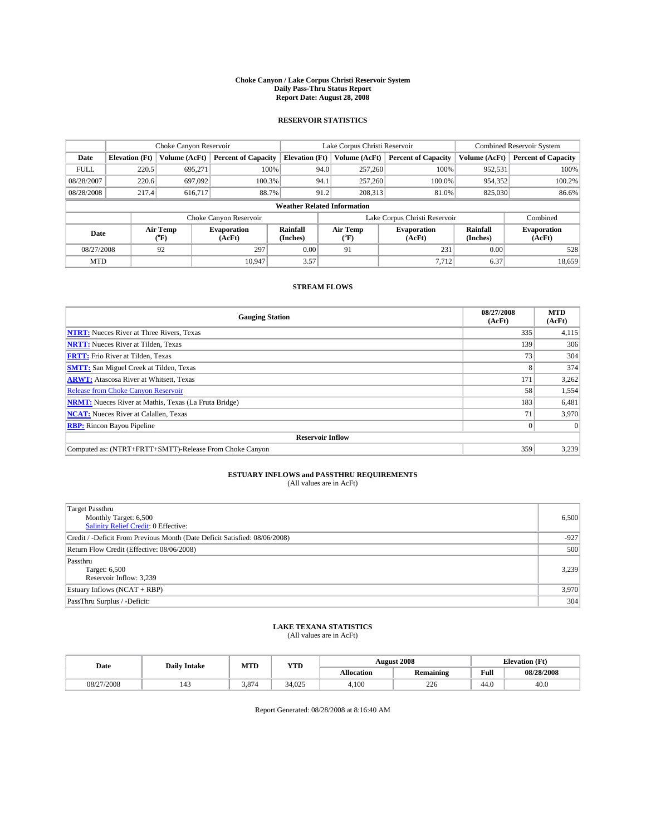#### **Choke Canyon / Lake Corpus Christi Reservoir System Daily Pass-Thru Status Report Report Date: August 28, 2008**

### **RESERVOIR STATISTICS**

|             | Choke Canyon Reservoir |                             | Lake Corpus Christi Reservoir |                                    |                               |                  | <b>Combined Reservoir System</b> |                      |                              |
|-------------|------------------------|-----------------------------|-------------------------------|------------------------------------|-------------------------------|------------------|----------------------------------|----------------------|------------------------------|
| Date        | <b>Elevation</b> (Ft)  | Volume (AcFt)               | <b>Percent of Capacity</b>    | <b>Elevation</b> (Ft)              |                               | Volume (AcFt)    | <b>Percent of Capacity</b>       | Volume (AcFt)        | <b>Percent of Capacity</b>   |
| <b>FULL</b> | 220.5                  | 695,271                     | 100%                          |                                    | 94.0                          | 257,260          | 100%                             | 952,531              | 100%                         |
| 08/28/2007  | 220.6                  | 697,092                     | 100.3%                        |                                    | 94.1                          | 257,260          | 100.0%                           | 954,352              | 100.2%                       |
| 08/28/2008  | 217.4                  | 616.717                     | 88.7%                         |                                    | 91.2                          | 208.313          | 81.0%                            | 825,030              | 86.6%                        |
|             |                        |                             |                               | <b>Weather Related Information</b> |                               |                  |                                  |                      |                              |
|             |                        |                             | Choke Canyon Reservoir        |                                    | Lake Corpus Christi Reservoir |                  |                                  |                      | Combined                     |
| Date        |                        | Air Temp<br>${}^{\circ}$ F) | <b>Evaporation</b><br>(AcFt)  | Rainfall<br>(Inches)               |                               | Air Temp<br>("F) | <b>Evaporation</b><br>(AcFt)     | Rainfall<br>(Inches) | <b>Evaporation</b><br>(AcFt) |
| 08/27/2008  |                        | 92                          | 297                           | 0.00                               |                               | 91               | 231                              | 0.00                 | 528                          |
| <b>MTD</b>  |                        |                             | 10.947                        | 3.57                               |                               |                  | 7,712                            | 6.37                 | 18,659                       |

### **STREAM FLOWS**

| <b>Gauging Station</b>                                       | 08/27/2008<br>(AcFt) | <b>MTD</b><br>(AcFt) |
|--------------------------------------------------------------|----------------------|----------------------|
| <b>NTRT:</b> Nueces River at Three Rivers, Texas             | 335                  | 4,115                |
| <b>NRTT:</b> Nueces River at Tilden, Texas                   | 139                  | 306                  |
| <b>FRTT:</b> Frio River at Tilden, Texas                     | 73 <sub>1</sub>      | 304                  |
| <b>SMTT:</b> San Miguel Creek at Tilden, Texas               |                      | 374                  |
| <b>ARWT:</b> Atascosa River at Whitsett, Texas               | 171                  | 3,262                |
| <b>Release from Choke Canyon Reservoir</b>                   | 58                   | 1,554                |
| <b>NRMT:</b> Nueces River at Mathis, Texas (La Fruta Bridge) | 183                  | 6,481                |
| <b>NCAT:</b> Nueces River at Calallen, Texas                 | 71                   | 3,970                |
| <b>RBP:</b> Rincon Bayou Pipeline                            | $\vert 0 \vert$      |                      |
| <b>Reservoir Inflow</b>                                      |                      |                      |
| Computed as: (NTRT+FRTT+SMTT)-Release From Choke Canyon      | 359                  | 3,239                |

# **ESTUARY INFLOWS and PASSTHRU REQUIREMENTS**<br>(All values are in AcFt)

| Target Passthru                                                            |        |
|----------------------------------------------------------------------------|--------|
| Monthly Target: 6,500                                                      | 6,500  |
| <b>Salinity Relief Credit: 0 Effective:</b>                                |        |
| Credit / -Deficit From Previous Month (Date Deficit Satisfied: 08/06/2008) | $-927$ |
| Return Flow Credit (Effective: 08/06/2008)                                 | 500    |
| Passthru                                                                   |        |
| Target: 6,500                                                              | 3,239  |
| Reservoir Inflow: 3,239                                                    |        |
| Estuary Inflows (NCAT + RBP)                                               | 3,970  |
| PassThru Surplus / -Deficit:                                               | 304    |

# **LAKE TEXANA STATISTICS** (All values are in AcFt)

| Date       | <b>Daily Intake</b> | MTI   | $77$ TD<br>- 1 <i>D</i> |                   | <b>August 2008</b> |      | <b>Elevation</b> (Ft) |
|------------|---------------------|-------|-------------------------|-------------------|--------------------|------|-----------------------|
|            |                     |       |                         | <b>Allocation</b> | <b>Remaining</b>   | Full | 08/28/2008            |
| 08/27/2008 |                     | 3.874 | 34,025                  | 4.100             | 226                | 44.0 | 40.0                  |

Report Generated: 08/28/2008 at 8:16:40 AM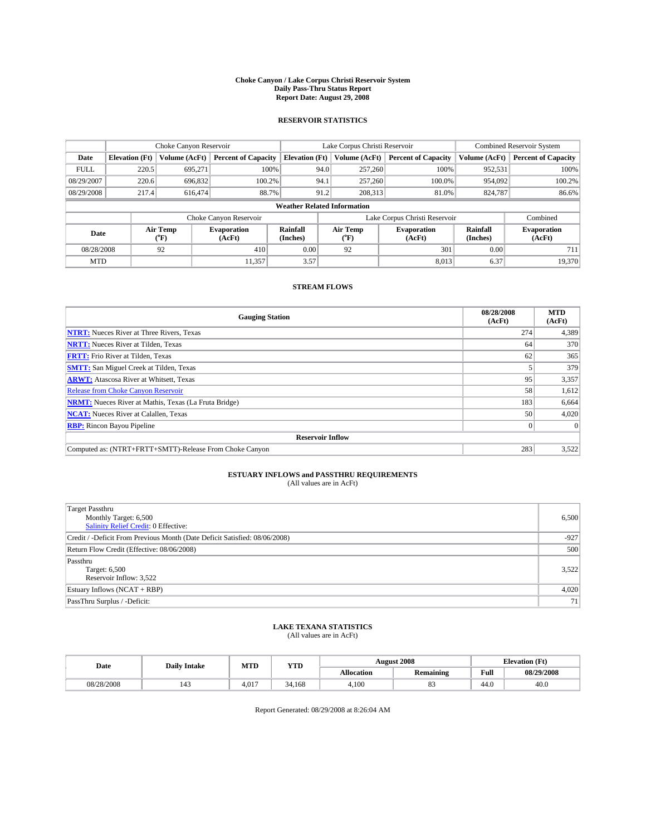#### **Choke Canyon / Lake Corpus Christi Reservoir System Daily Pass-Thru Status Report Report Date: August 29, 2008**

### **RESERVOIR STATISTICS**

|             | Choke Canyon Reservoir |                             | Lake Corpus Christi Reservoir |                                    |                               |                  | <b>Combined Reservoir System</b> |                      |                              |
|-------------|------------------------|-----------------------------|-------------------------------|------------------------------------|-------------------------------|------------------|----------------------------------|----------------------|------------------------------|
| Date        | <b>Elevation</b> (Ft)  | Volume (AcFt)               | <b>Percent of Capacity</b>    | <b>Elevation</b> (Ft)              |                               | Volume (AcFt)    | <b>Percent of Capacity</b>       | Volume (AcFt)        | <b>Percent of Capacity</b>   |
| <b>FULL</b> | 220.5                  | 695,271                     |                               | 100%                               | 94.0                          | 257,260          | 100%                             | 952,531              | 100%                         |
| 08/29/2007  | 220.6                  | 696,832                     | 100.2%                        |                                    | 94.1                          | 257,260          | 100.0%                           | 954.092              | 100.2%                       |
| 08/29/2008  | 217.4                  | 616,474                     | 88.7%                         |                                    | 91.2                          | 208.313          | 81.0%                            | 824,787              | 86.6%                        |
|             |                        |                             |                               | <b>Weather Related Information</b> |                               |                  |                                  |                      |                              |
|             |                        |                             | Choke Canyon Reservoir        |                                    | Lake Corpus Christi Reservoir |                  |                                  |                      | Combined                     |
| Date        |                        | Air Temp<br>${}^{\circ}$ F) | <b>Evaporation</b><br>(AcFt)  | Rainfall<br>(Inches)               |                               | Air Temp<br>("F) | <b>Evaporation</b><br>(AcFt)     | Rainfall<br>(Inches) | <b>Evaporation</b><br>(AcFt) |
| 08/28/2008  |                        | 92                          | 410                           | 0.00                               |                               | 92               | 301                              | 0.00                 | 711                          |
| <b>MTD</b>  |                        |                             | 11,357                        | 3.57                               |                               |                  | 8,013                            | 6.37                 | 19.370                       |

### **STREAM FLOWS**

| <b>Gauging Station</b>                                       | 08/28/2008<br>(AcFt) | <b>MTD</b><br>(AcFt) |
|--------------------------------------------------------------|----------------------|----------------------|
| <b>NTRT:</b> Nueces River at Three Rivers, Texas             | 274                  | 4,389                |
| <b>NRTT:</b> Nueces River at Tilden, Texas                   | 64                   | 370                  |
| <b>FRTT:</b> Frio River at Tilden, Texas                     | 62                   | 365                  |
| <b>SMTT:</b> San Miguel Creek at Tilden, Texas               |                      | 379                  |
| <b>ARWT:</b> Atascosa River at Whitsett, Texas               | 95                   | 3,357                |
| <b>Release from Choke Canyon Reservoir</b>                   | 58                   | 1,612                |
| <b>NRMT:</b> Nueces River at Mathis, Texas (La Fruta Bridge) | 183                  | 6,664                |
| <b>NCAT:</b> Nueces River at Calallen, Texas                 | 50                   | 4,020                |
| <b>RBP:</b> Rincon Bayou Pipeline                            | $\overline{0}$       |                      |
| <b>Reservoir Inflow</b>                                      |                      |                      |
| Computed as: (NTRT+FRTT+SMTT)-Release From Choke Canyon      | 283                  | 3,522                |

# **ESTUARY INFLOWS and PASSTHRU REQUIREMENTS**

|  | (All values are in AcFt) |
|--|--------------------------|
|--|--------------------------|

| <b>Target Passthru</b><br>Monthly Target: 6,500<br>Salinity Relief Credit: 0 Effective: | 6,500  |
|-----------------------------------------------------------------------------------------|--------|
| Credit / -Deficit From Previous Month (Date Deficit Satisfied: 08/06/2008)              | $-927$ |
| Return Flow Credit (Effective: 08/06/2008)                                              | 500    |
| Passthru<br>Target: 6,500<br>Reservoir Inflow: 3,522                                    | 3,522  |
| Estuary Inflows (NCAT + RBP)                                                            | 4,020  |
| PassThru Surplus / -Deficit:                                                            | 71     |

# **LAKE TEXANA STATISTICS** (All values are in AcFt)

| Date       | <b>Daily Intake</b> | MTD                      | <b>WTPD</b><br>1 I D |                   | <b>August 2008</b> | CT4<br>Elevation (<br>LE L |            |
|------------|---------------------|--------------------------|----------------------|-------------------|--------------------|----------------------------|------------|
|            |                     |                          |                      | <b>Allocation</b> | Remaining          | Full                       | 08/29/2008 |
| 08/28/2008 | $1 - 1$             | 01 <sup>7</sup><br>1.V.I | 34.168               | 4.10C             | o.,                | 44.0                       | 40.0       |

Report Generated: 08/29/2008 at 8:26:04 AM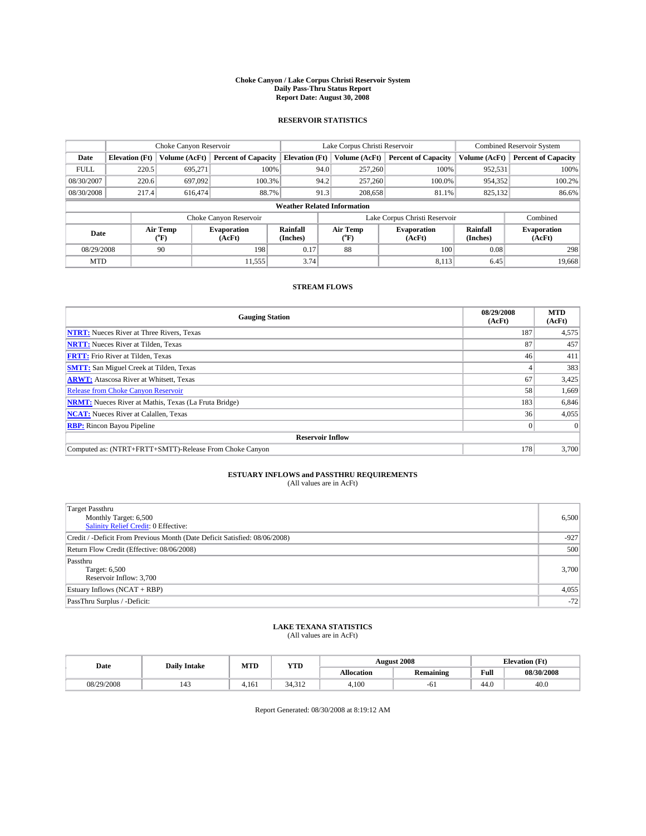#### **Choke Canyon / Lake Corpus Christi Reservoir System Daily Pass-Thru Status Report Report Date: August 30, 2008**

### **RESERVOIR STATISTICS**

|             | Choke Canyon Reservoir |                  | Lake Corpus Christi Reservoir |                                    |                               |         | <b>Combined Reservoir System</b> |                      |                              |
|-------------|------------------------|------------------|-------------------------------|------------------------------------|-------------------------------|---------|----------------------------------|----------------------|------------------------------|
| Date        | <b>Elevation</b> (Ft)  | Volume (AcFt)    | <b>Percent of Capacity</b>    | <b>Elevation</b> (Ft)              | Volume (AcFt)                 |         | <b>Percent of Capacity</b>       | Volume (AcFt)        | <b>Percent of Capacity</b>   |
| <b>FULL</b> | 220.5                  | 695,271          | 100%                          |                                    | 94.0                          | 257,260 | 100%                             | 952,531              | 100%                         |
| 08/30/2007  | 220.6                  | 697,092          | 100.3%                        |                                    | 94.2                          | 257,260 | 100.0%                           | 954,352              | 100.2%                       |
| 08/30/2008  | 217.4                  | 616,474          | 88.7%                         |                                    | 91.3                          | 208,658 | 81.1%                            | 825,132              | 86.6%                        |
|             |                        |                  |                               | <b>Weather Related Information</b> |                               |         |                                  |                      |                              |
|             |                        |                  | Choke Canyon Reservoir        |                                    | Lake Corpus Christi Reservoir |         |                                  |                      | Combined                     |
| Date        |                        | Air Temp<br>(°F) | <b>Evaporation</b><br>(AcFt)  | Rainfall<br>(Inches)               | Air Temp<br>("F)              |         | <b>Evaporation</b><br>(AcFt)     | Rainfall<br>(Inches) | <b>Evaporation</b><br>(AcFt) |
| 08/29/2008  |                        | 90               | 198                           | 0.17                               | 88                            |         | 100                              | 0.08                 | 298                          |
| <b>MTD</b>  |                        |                  | 11,555                        | 3.74                               |                               |         | 8.113                            | 6.45                 | 19,668                       |

### **STREAM FLOWS**

| <b>Gauging Station</b>                                       | 08/29/2008<br>(AcFt) | <b>MTD</b><br>(AcFt) |
|--------------------------------------------------------------|----------------------|----------------------|
| <b>NTRT:</b> Nueces River at Three Rivers, Texas             | 187                  | 4,575                |
| <b>NRTT:</b> Nueces River at Tilden, Texas                   | 87                   | 457                  |
| <b>FRTT:</b> Frio River at Tilden, Texas                     | 46                   | 411                  |
| <b>SMTT:</b> San Miguel Creek at Tilden, Texas               |                      | 383                  |
| <b>ARWT:</b> Atascosa River at Whitsett, Texas               | 67                   | 3,425                |
| <b>Release from Choke Canyon Reservoir</b>                   | 58                   | 1,669                |
| <b>NRMT:</b> Nueces River at Mathis, Texas (La Fruta Bridge) | 183                  | 6,846                |
| <b>NCAT:</b> Nueces River at Calallen, Texas                 | 36                   | 4,055                |
| <b>RBP:</b> Rincon Bayou Pipeline                            | $\vert 0 \vert$      |                      |
| <b>Reservoir Inflow</b>                                      |                      |                      |
| Computed as: (NTRT+FRTT+SMTT)-Release From Choke Canyon      | 178                  | 3,700                |

# **ESTUARY INFLOWS and PASSTHRU REQUIREMENTS**

|  | (All values are in AcFt) |
|--|--------------------------|
|--|--------------------------|

| <b>Target Passthru</b><br>Monthly Target: 6,500<br>Salinity Relief Credit: 0 Effective: | 6,500  |
|-----------------------------------------------------------------------------------------|--------|
| Credit / -Deficit From Previous Month (Date Deficit Satisfied: 08/06/2008)              | $-927$ |
| Return Flow Credit (Effective: 08/06/2008)                                              | 500    |
| Passthru<br>Target: 6,500<br>Reservoir Inflow: 3,700                                    | 3,700  |
| Estuary Inflows (NCAT + RBP)                                                            | 4,055  |
| PassThru Surplus / -Deficit:                                                            | $-72$  |

# **LAKE TEXANA STATISTICS** (All values are in AcFt)

| Date       | <b>Daily Intake</b> | MTD   | <b>WTPD</b><br>1 I D |                   | <b>August 2008</b> | CT4<br>Elevation (<br>гı |            |
|------------|---------------------|-------|----------------------|-------------------|--------------------|--------------------------|------------|
|            |                     |       |                      | <b>Allocation</b> | Remaining          | Full                     | 08/30/2008 |
| 08/29/2008 | $1 - 1$             | l.161 | <b>34916</b><br>---- | 4.10C             | $-\sigma$          | 44.V                     | 40.0       |

Report Generated: 08/30/2008 at 8:19:12 AM